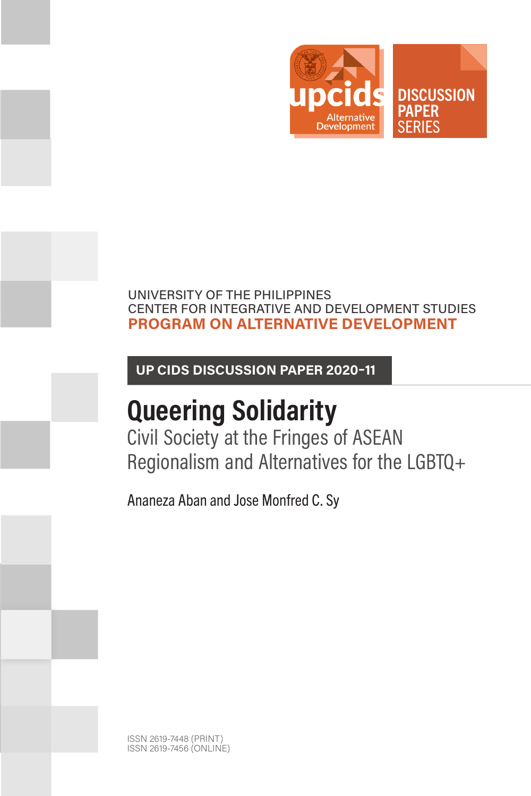

## UNIVERSITY OF THE PHILIPPINES CENTER FOR INTEGRATIVE AND DEVELOPMENT STUDIES **PROGRAM ON ALTERNATIVE DEVELOPMENT**

**UP CIDS DISCUSSION PAPER 2020–11**

# **Queering Solidarity**

Civil Society at the Fringes of ASEAN Regionalism and Alternatives for the LGBTQ+

Ananeza Aban and Jose Monfred C. Sy

ISSN 2619-7448 (PRINT) ISSN 2619-7456 (ONLINE)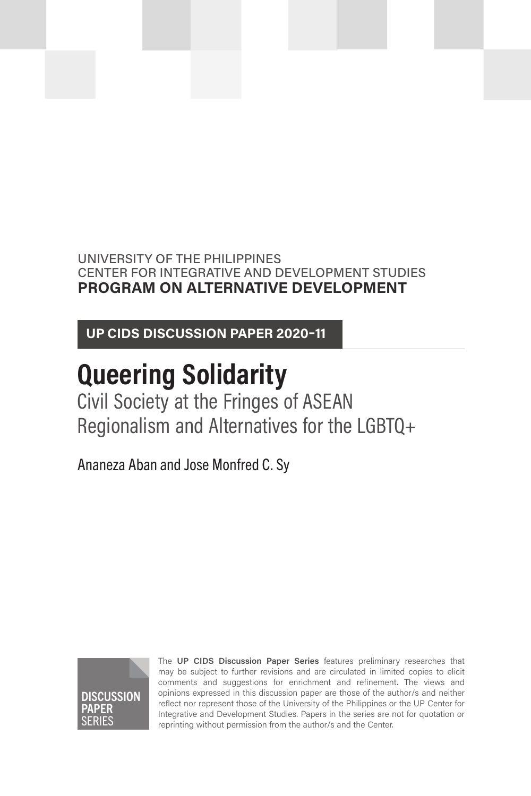UNIVERSITY OF THE PHILIPPINES CENTER FOR INTEGRATIVE AND DEVELOPMENT STUDIES **PROGRAM ON ALTERNATIVE DEVELOPMENT**

**UP CIDS DISCUSSION PAPER 2020–11**

# **Queering Solidarity**

Civil Society at the Fringes of ASEAN Regionalism and Alternatives for the LGBTQ+

Ananeza Aban and Jose Monfred C. Sy



The **UP CIDS Discussion Paper Series** features preliminary researches that may be subject to further revisions and are circulated in limited copies to elicit comments and suggestions for enrichment and refinement. The views and opinions expressed in this discussion paper are those of the author/s and neither reflect nor represent those of the University of the Philippines or the UP Center for Integrative and Development Studies. Papers in the series are not for quotation or reprinting without permission from the author/s and the Center.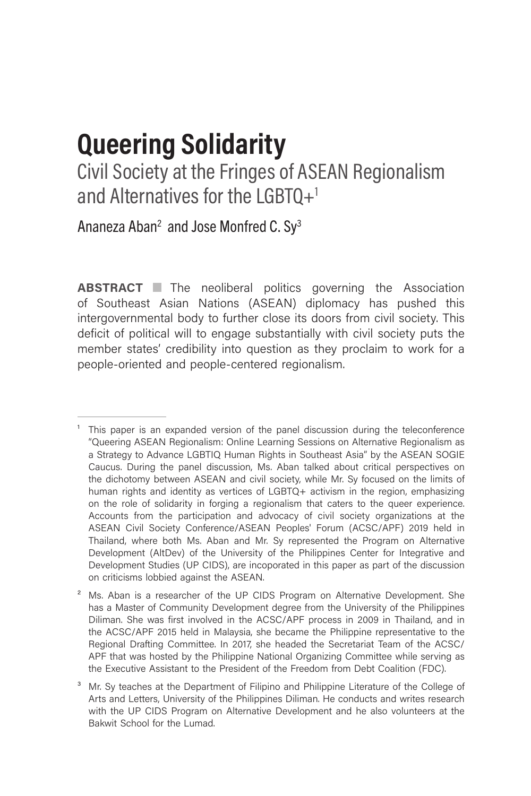# **Queering Solidarity**

Civil Society at the Fringes of ASEAN Regionalism and Alternatives for the LGBTQ $+$ <sup>1</sup>

Ananeza Aban<sup>2</sup> and Jose Monfred C. Sy<sup>3</sup>

**ABSTRACT** The neoliberal politics governing the Association of Southeast Asian Nations (ASEAN) diplomacy has pushed this intergovernmental body to further close its doors from civil society. This deficit of political will to engage substantially with civil society puts the member states' credibility into question as they proclaim to work for a people-oriented and people-centered regionalism.

 $1$  This paper is an expanded version of the panel discussion during the teleconference "Queering ASEAN Regionalism: Online Learning Sessions on Alternative Regionalism as a Strategy to Advance LGBTIQ Human Rights in Southeast Asia" by the ASEAN SOGIE Caucus. During the panel discussion, Ms. Aban talked about critical perspectives on the dichotomy between ASEAN and civil society, while Mr. Sy focused on the limits of human rights and identity as vertices of LGBTQ+ activism in the region, emphasizing on the role of solidarity in forging a regionalism that caters to the queer experience. Accounts from the participation and advocacy of civil society organizations at the ASEAN Civil Society Conference/ASEAN Peoples' Forum (ACSC/APF) 2019 held in Thailand, where both Ms. Aban and Mr. Sy represented the Program on Alternative Development (AltDev) of the University of the Philippines Center for Integrative and Development Studies (UP CIDS), are incoporated in this paper as part of the discussion on criticisms lobbied against the ASEAN.

<sup>&</sup>lt;sup>2</sup> Ms. Aban is a researcher of the UP CIDS Program on Alternative Development. She has a Master of Community Development degree from the University of the Philippines Diliman. She was first involved in the ACSC/APF process in 2009 in Thailand, and in the ACSC/APF 2015 held in Malaysia, she became the Philippine representative to the Regional Drafting Committee. In 2017, she headed the Secretariat Team of the ACSC/ APF that was hosted by the Philippine National Organizing Committee while serving as the Executive Assistant to the President of the Freedom from Debt Coalition (FDC).

<sup>&</sup>lt;sup>3</sup> Mr. Sy teaches at the Department of Filipino and Philippine Literature of the College of Arts and Letters, University of the Philippines Diliman. He conducts and writes research with the UP CIDS Program on Alternative Development and he also volunteers at the Bakwit School for the Lumad.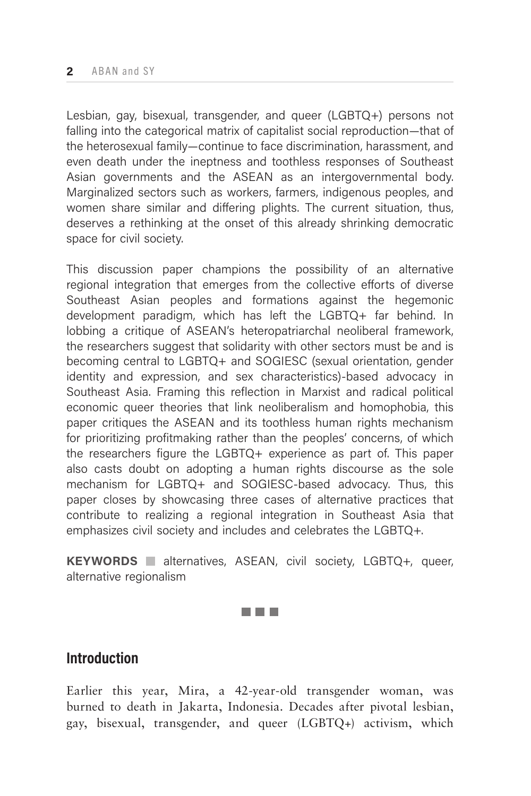Lesbian, gay, bisexual, transgender, and queer (LGBTQ+) persons not falling into the categorical matrix of capitalist social reproduction—that of the heterosexual family—continue to face discrimination, harassment, and even death under the ineptness and toothless responses of Southeast Asian governments and the ASEAN as an intergovernmental body. Marginalized sectors such as workers, farmers, indigenous peoples, and women share similar and differing plights. The current situation, thus, deserves a rethinking at the onset of this already shrinking democratic space for civil society.

This discussion paper champions the possibility of an alternative regional integration that emerges from the collective efforts of diverse Southeast Asian peoples and formations against the hegemonic development paradigm, which has left the LGBTQ+ far behind. In lobbing a critique of ASEAN's heteropatriarchal neoliberal framework, the researchers suggest that solidarity with other sectors must be and is becoming central to LGBTQ+ and SOGIESC (sexual orientation, gender identity and expression, and sex characteristics)-based advocacy in Southeast Asia. Framing this reflection in Marxist and radical political economic queer theories that link neoliberalism and homophobia, this paper critiques the ASEAN and its toothless human rights mechanism for prioritizing profitmaking rather than the peoples' concerns, of which the researchers figure the LGBTQ+ experience as part of. This paper also casts doubt on adopting a human rights discourse as the sole mechanism for LGBTQ+ and SOGIESC-based advocacy. Thus, this paper closes by showcasing three cases of alternative practices that contribute to realizing a regional integration in Southeast Asia that emphasizes civil society and includes and celebrates the LGBTQ+.

**KEYWORDS** alternatives, ASEAN, civil society, LGBTQ+, queer, alternative regionalism

**TELEVISION** 

# **Introduction**

Earlier this year, Mira, a 42-year-old transgender woman, was burned to death in Jakarta, Indonesia. Decades after pivotal lesbian, gay, bisexual, transgender, and queer (LGBTQ+) activism, which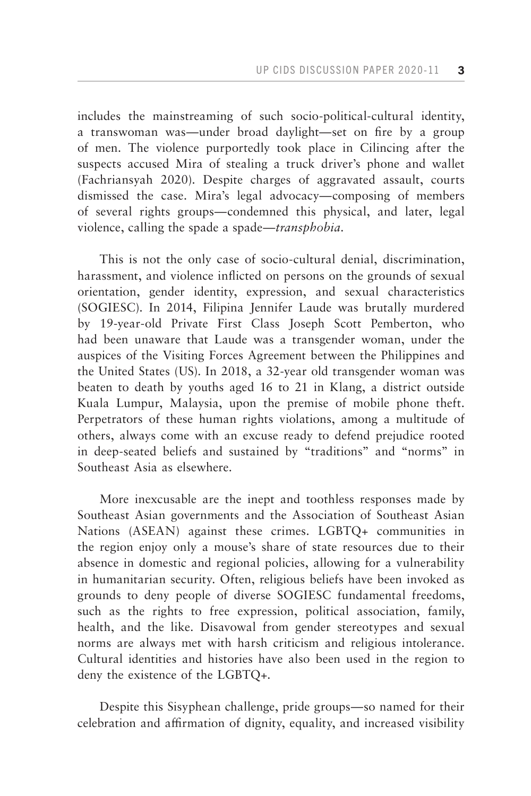includes the mainstreaming of such socio-political-cultural identity, a transwoman was—under broad daylight—set on fire by a group of men. The violence purportedly took place in Cilincing after the suspects accused Mira of stealing a truck driver's phone and wallet (Fachriansyah 2020). Despite charges of aggravated assault, courts dismissed the case. Mira's legal advocacy—composing of members of several rights groups—condemned this physical, and later, legal violence, calling the spade a spade—*transphobia*.

This is not the only case of socio-cultural denial, discrimination, harassment, and violence inflicted on persons on the grounds of sexual orientation, gender identity, expression, and sexual characteristics (SOGIESC). In 2014, Filipina Jennifer Laude was brutally murdered by 19-year-old Private First Class Joseph Scott Pemberton, who had been unaware that Laude was a transgender woman, under the auspices of the Visiting Forces Agreement between the Philippines and the United States (US). In 2018, a 32-year old transgender woman was beaten to death by youths aged 16 to 21 in Klang, a district outside Kuala Lumpur, Malaysia, upon the premise of mobile phone theft. Perpetrators of these human rights violations, among a multitude of others, always come with an excuse ready to defend prejudice rooted in deep-seated beliefs and sustained by "traditions" and "norms" in Southeast Asia as elsewhere.

More inexcusable are the inept and toothless responses made by Southeast Asian governments and the Association of Southeast Asian Nations (ASEAN) against these crimes. LGBTQ+ communities in the region enjoy only a mouse's share of state resources due to their absence in domestic and regional policies, allowing for a vulnerability in humanitarian security. Often, religious beliefs have been invoked as grounds to deny people of diverse SOGIESC fundamental freedoms, such as the rights to free expression, political association, family, health, and the like. Disavowal from gender stereotypes and sexual norms are always met with harsh criticism and religious intolerance. Cultural identities and histories have also been used in the region to deny the existence of the LGBTQ+.

Despite this Sisyphean challenge, pride groups—so named for their celebration and affirmation of dignity, equality, and increased visibility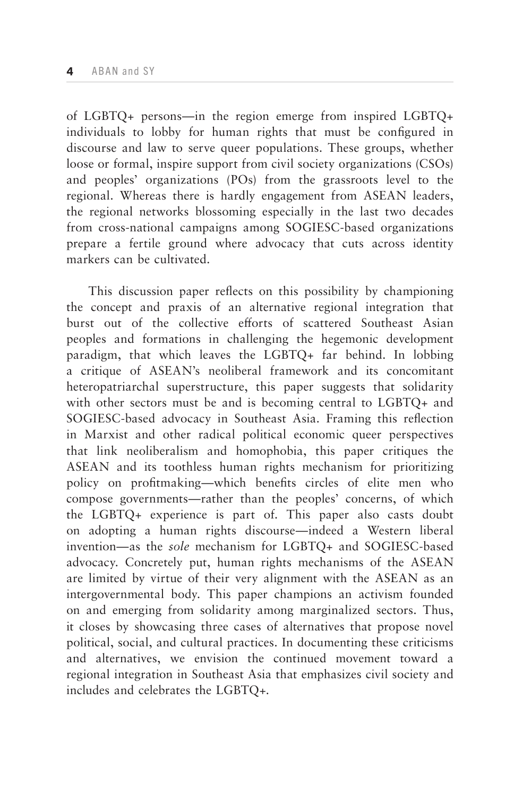of LGBTQ+ persons—in the region emerge from inspired LGBTQ+ individuals to lobby for human rights that must be configured in discourse and law to serve queer populations. These groups, whether loose or formal, inspire support from civil society organizations (CSOs) and peoples' organizations (POs) from the grassroots level to the regional. Whereas there is hardly engagement from ASEAN leaders, the regional networks blossoming especially in the last two decades from cross-national campaigns among SOGIESC-based organizations prepare a fertile ground where advocacy that cuts across identity markers can be cultivated.

This discussion paper reflects on this possibility by championing the concept and praxis of an alternative regional integration that burst out of the collective efforts of scattered Southeast Asian peoples and formations in challenging the hegemonic development paradigm, that which leaves the LGBTQ+ far behind. In lobbing a critique of ASEAN's neoliberal framework and its concomitant heteropatriarchal superstructure, this paper suggests that solidarity with other sectors must be and is becoming central to LGBTQ+ and SOGIESC-based advocacy in Southeast Asia. Framing this reflection in Marxist and other radical political economic queer perspectives that link neoliberalism and homophobia, this paper critiques the ASEAN and its toothless human rights mechanism for prioritizing policy on profitmaking—which benefits circles of elite men who compose governments—rather than the peoples' concerns, of which the LGBTQ+ experience is part of. This paper also casts doubt on adopting a human rights discourse—indeed a Western liberal invention—as the *sole* mechanism for LGBTQ+ and SOGIESC-based advocacy. Concretely put, human rights mechanisms of the ASEAN are limited by virtue of their very alignment with the ASEAN as an intergovernmental body. This paper champions an activism founded on and emerging from solidarity among marginalized sectors. Thus, it closes by showcasing three cases of alternatives that propose novel political, social, and cultural practices. In documenting these criticisms and alternatives, we envision the continued movement toward a regional integration in Southeast Asia that emphasizes civil society and includes and celebrates the LGBTQ+.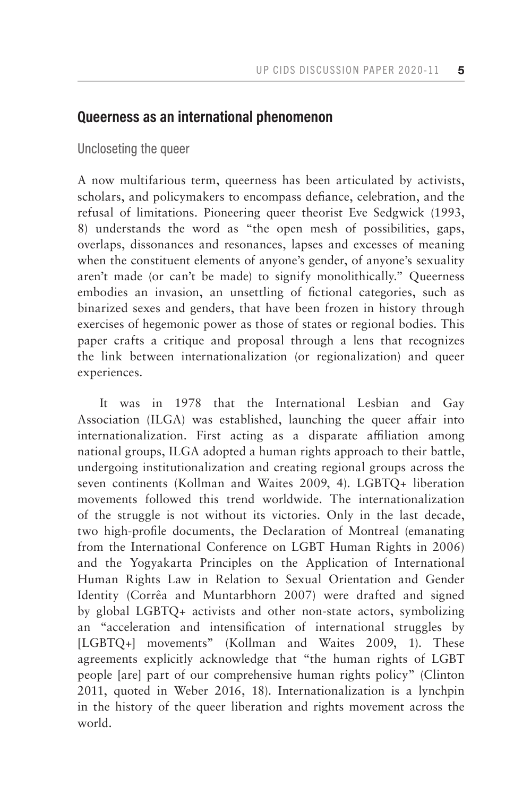# **Queerness as an international phenomenon**

Uncloseting the queer

A now multifarious term, queerness has been articulated by activists, scholars, and policymakers to encompass defiance, celebration, and the refusal of limitations. Pioneering queer theorist Eve Sedgwick (1993, 8) understands the word as "the open mesh of possibilities, gaps, overlaps, dissonances and resonances, lapses and excesses of meaning when the constituent elements of anyone's gender, of anyone's sexuality aren't made (or can't be made) to signify monolithically." Queerness embodies an invasion, an unsettling of fictional categories, such as binarized sexes and genders, that have been frozen in history through exercises of hegemonic power as those of states or regional bodies. This paper crafts a critique and proposal through a lens that recognizes the link between internationalization (or regionalization) and queer experiences.

It was in 1978 that the International Lesbian and Gay Association (ILGA) was established, launching the queer affair into internationalization. First acting as a disparate affiliation among national groups, ILGA adopted a human rights approach to their battle, undergoing institutionalization and creating regional groups across the seven continents (Kollman and Waites 2009, 4). LGBTQ+ liberation movements followed this trend worldwide. The internationalization of the struggle is not without its victories. Only in the last decade, two high-profile documents, the Declaration of Montreal (emanating from the International Conference on LGBT Human Rights in 2006) and the Yogyakarta Principles on the Application of International Human Rights Law in Relation to Sexual Orientation and Gender Identity (Corrêa and Muntarbhorn 2007) were drafted and signed by global LGBTQ+ activists and other non-state actors, symbolizing an "acceleration and intensification of international struggles by [LGBTQ+] movements" (Kollman and Waites 2009, 1). These agreements explicitly acknowledge that "the human rights of LGBT people [are] part of our comprehensive human rights policy" (Clinton 2011, quoted in Weber 2016, 18). Internationalization is a lynchpin in the history of the queer liberation and rights movement across the world.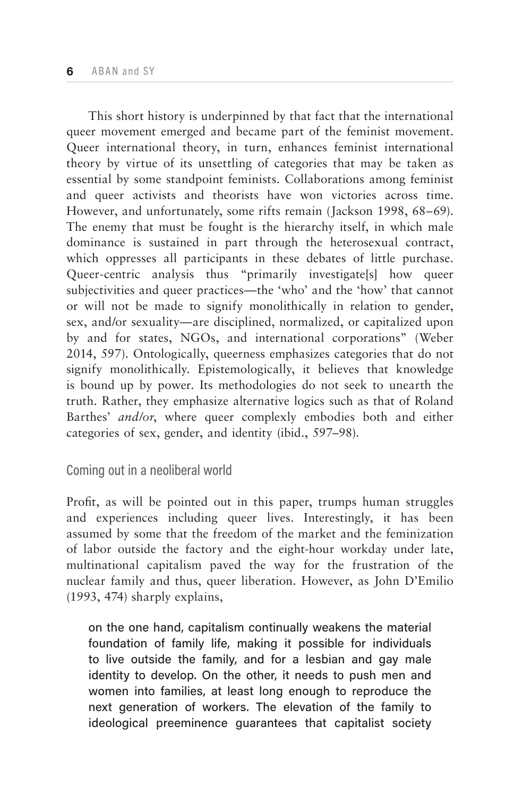This short history is underpinned by that fact that the international queer movement emerged and became part of the feminist movement. Queer international theory, in turn, enhances feminist international theory by virtue of its unsettling of categories that may be taken as essential by some standpoint feminists. Collaborations among feminist and queer activists and theorists have won victories across time. However, and unfortunately, some rifts remain (Jackson 1998, 68–69). The enemy that must be fought is the hierarchy itself, in which male dominance is sustained in part through the heterosexual contract, which oppresses all participants in these debates of little purchase. Queer-centric analysis thus "primarily investigate[s] how queer subjectivities and queer practices—the 'who' and the 'how' that cannot or will not be made to signify monolithically in relation to gender, sex, and/or sexuality—are disciplined, normalized, or capitalized upon by and for states, NGOs, and international corporations" (Weber 2014, 597). Ontologically, queerness emphasizes categories that do not signify monolithically. Epistemologically, it believes that knowledge is bound up by power. Its methodologies do not seek to unearth the truth. Rather, they emphasize alternative logics such as that of Roland Barthes' *and/or*, where queer complexly embodies both and either categories of sex, gender, and identity (ibid., 597–98).

## Coming out in a neoliberal world

Profit, as will be pointed out in this paper, trumps human struggles and experiences including queer lives. Interestingly, it has been assumed by some that the freedom of the market and the feminization of labor outside the factory and the eight-hour workday under late, multinational capitalism paved the way for the frustration of the nuclear family and thus, queer liberation. However, as John D'Emilio (1993, 474) sharply explains,

on the one hand, capitalism continually weakens the material foundation of family life, making it possible for individuals to live outside the family, and for a lesbian and gay male identity to develop. On the other, it needs to push men and women into families, at least long enough to reproduce the next generation of workers. The elevation of the family to ideological preeminence guarantees that capitalist society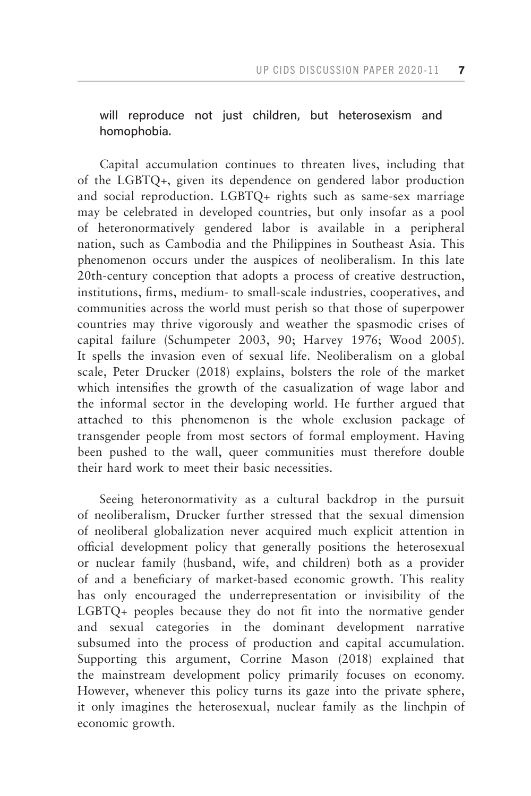will reproduce not just children, but heterosexism and homophobia.

Capital accumulation continues to threaten lives, including that of the LGBTQ+, given its dependence on gendered labor production and social reproduction. LGBTQ+ rights such as same-sex marriage may be celebrated in developed countries, but only insofar as a pool of heteronormatively gendered labor is available in a peripheral nation, such as Cambodia and the Philippines in Southeast Asia. This phenomenon occurs under the auspices of neoliberalism. In this late 20th-century conception that adopts a process of creative destruction, institutions, firms, medium- to small-scale industries, cooperatives, and communities across the world must perish so that those of superpower countries may thrive vigorously and weather the spasmodic crises of capital failure (Schumpeter 2003, 90; Harvey 1976; Wood 2005). It spells the invasion even of sexual life. Neoliberalism on a global scale, Peter Drucker (2018) explains, bolsters the role of the market which intensifies the growth of the casualization of wage labor and the informal sector in the developing world. He further argued that attached to this phenomenon is the whole exclusion package of transgender people from most sectors of formal employment. Having been pushed to the wall, queer communities must therefore double their hard work to meet their basic necessities.

Seeing heteronormativity as a cultural backdrop in the pursuit of neoliberalism, Drucker further stressed that the sexual dimension of neoliberal globalization never acquired much explicit attention in official development policy that generally positions the heterosexual or nuclear family (husband, wife, and children) both as a provider of and a beneficiary of market-based economic growth. This reality has only encouraged the underrepresentation or invisibility of the LGBTQ+ peoples because they do not fit into the normative gender and sexual categories in the dominant development narrative subsumed into the process of production and capital accumulation. Supporting this argument, Corrine Mason (2018) explained that the mainstream development policy primarily focuses on economy. However, whenever this policy turns its gaze into the private sphere, it only imagines the heterosexual, nuclear family as the linchpin of economic growth.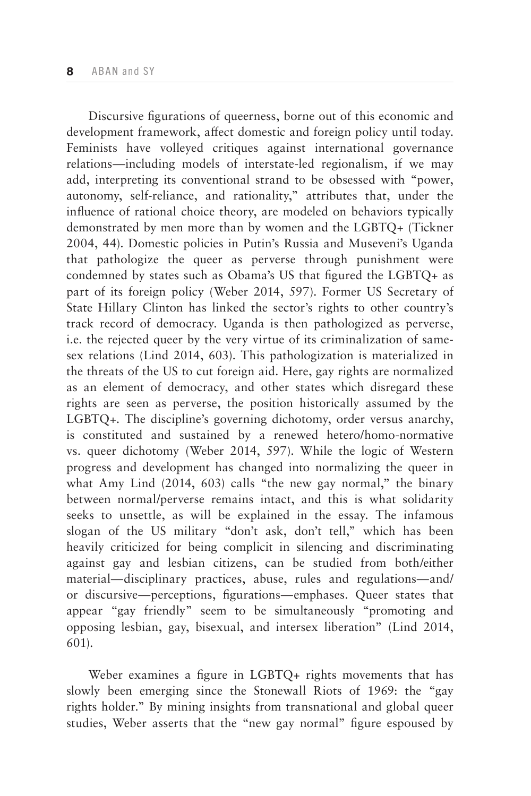Discursive figurations of queerness, borne out of this economic and development framework, affect domestic and foreign policy until today. Feminists have volleyed critiques against international governance relations—including models of interstate-led regionalism, if we may add, interpreting its conventional strand to be obsessed with "power, autonomy, self-reliance, and rationality," attributes that, under the influence of rational choice theory, are modeled on behaviors typically demonstrated by men more than by women and the LGBTQ+ (Tickner 2004, 44). Domestic policies in Putin's Russia and Museveni's Uganda that pathologize the queer as perverse through punishment were condemned by states such as Obama's US that figured the LGBTQ+ as part of its foreign policy (Weber 2014, 597). Former US Secretary of State Hillary Clinton has linked the sector's rights to other country's track record of democracy. Uganda is then pathologized as perverse, i.e. the rejected queer by the very virtue of its criminalization of samesex relations (Lind 2014, 603). This pathologization is materialized in the threats of the US to cut foreign aid. Here, gay rights are normalized as an element of democracy, and other states which disregard these rights are seen as perverse, the position historically assumed by the LGBTQ+. The discipline's governing dichotomy, order versus anarchy, is constituted and sustained by a renewed hetero/homo-normative vs. queer dichotomy (Weber 2014, 597). While the logic of Western progress and development has changed into normalizing the queer in what Amy Lind (2014, 603) calls "the new gay normal," the binary between normal/perverse remains intact, and this is what solidarity seeks to unsettle, as will be explained in the essay. The infamous slogan of the US military "don't ask, don't tell," which has been heavily criticized for being complicit in silencing and discriminating against gay and lesbian citizens, can be studied from both/either material—disciplinary practices, abuse, rules and regulations—and/ or discursive—perceptions, figurations—emphases. Queer states that appear "gay friendly" seem to be simultaneously "promoting and opposing lesbian, gay, bisexual, and intersex liberation" (Lind 2014, 601).

Weber examines a figure in LGBTQ+ rights movements that has slowly been emerging since the Stonewall Riots of 1969: the "gay rights holder." By mining insights from transnational and global queer studies, Weber asserts that the "new gay normal" figure espoused by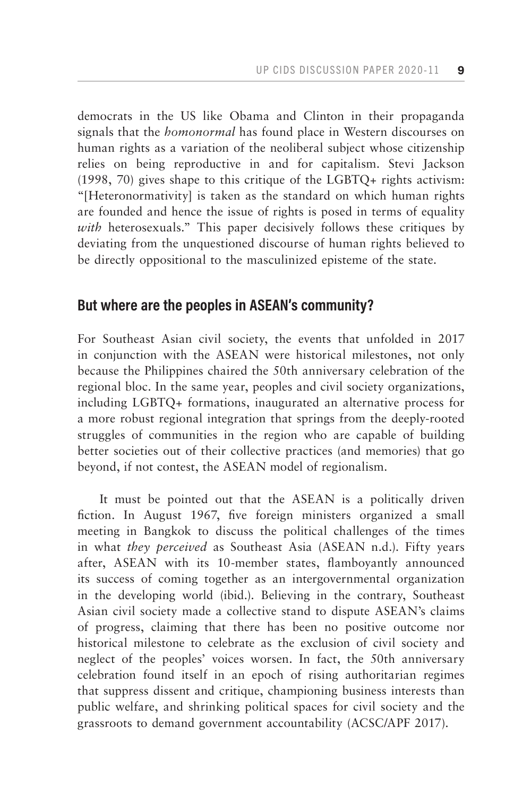democrats in the US like Obama and Clinton in their propaganda signals that the *homonormal* has found place in Western discourses on human rights as a variation of the neoliberal subject whose citizenship relies on being reproductive in and for capitalism. Stevi Jackson (1998, 70) gives shape to this critique of the LGBTQ+ rights activism: "[Heteronormativity] is taken as the standard on which human rights are founded and hence the issue of rights is posed in terms of equality *with* heterosexuals." This paper decisively follows these critiques by deviating from the unquestioned discourse of human rights believed to be directly oppositional to the masculinized episteme of the state.

# **But where are the peoples in ASEAN's community?**

For Southeast Asian civil society, the events that unfolded in 2017 in conjunction with the ASEAN were historical milestones, not only because the Philippines chaired the 50th anniversary celebration of the regional bloc. In the same year, peoples and civil society organizations, including LGBTQ+ formations, inaugurated an alternative process for a more robust regional integration that springs from the deeply-rooted struggles of communities in the region who are capable of building better societies out of their collective practices (and memories) that go beyond, if not contest, the ASEAN model of regionalism.

It must be pointed out that the ASEAN is a politically driven fiction. In August 1967, five foreign ministers organized a small meeting in Bangkok to discuss the political challenges of the times in what *they perceived* as Southeast Asia (ASEAN n.d.). Fifty years after, ASEAN with its 10-member states, flamboyantly announced its success of coming together as an intergovernmental organization in the developing world (ibid.). Believing in the contrary, Southeast Asian civil society made a collective stand to dispute ASEAN's claims of progress, claiming that there has been no positive outcome nor historical milestone to celebrate as the exclusion of civil society and neglect of the peoples' voices worsen. In fact, the 50th anniversary celebration found itself in an epoch of rising authoritarian regimes that suppress dissent and critique, championing business interests than public welfare, and shrinking political spaces for civil society and the grassroots to demand government accountability (ACSC/APF 2017).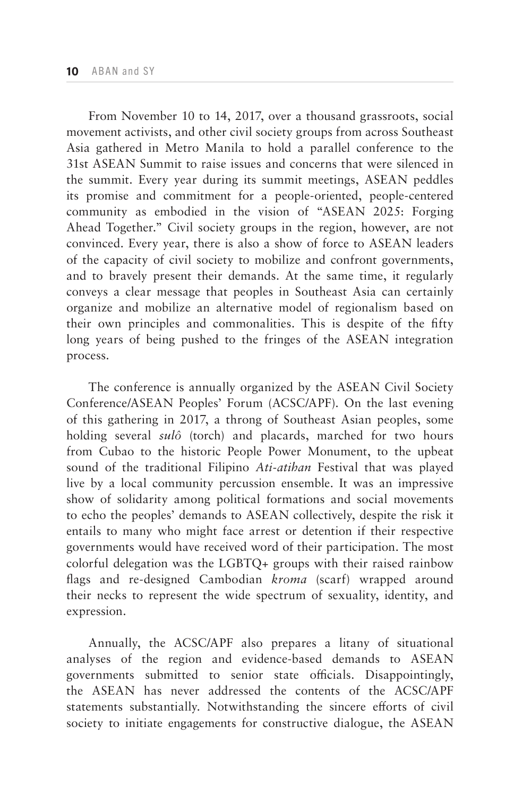From November 10 to 14, 2017, over a thousand grassroots, social movement activists, and other civil society groups from across Southeast Asia gathered in Metro Manila to hold a parallel conference to the 31st ASEAN Summit to raise issues and concerns that were silenced in the summit. Every year during its summit meetings, ASEAN peddles its promise and commitment for a people-oriented, people-centered community as embodied in the vision of "ASEAN 2025: Forging Ahead Together." Civil society groups in the region, however, are not convinced. Every year, there is also a show of force to ASEAN leaders of the capacity of civil society to mobilize and confront governments, and to bravely present their demands. At the same time, it regularly conveys a clear message that peoples in Southeast Asia can certainly organize and mobilize an alternative model of regionalism based on their own principles and commonalities. This is despite of the fifty long years of being pushed to the fringes of the ASEAN integration process.

The conference is annually organized by the ASEAN Civil Society Conference/ASEAN Peoples' Forum (ACSC/APF). On the last evening of this gathering in 2017, a throng of Southeast Asian peoples, some holding several *sulô* (torch) and placards, marched for two hours from Cubao to the historic People Power Monument, to the upbeat sound of the traditional Filipino *Ati-atihan* Festival that was played live by a local community percussion ensemble. It was an impressive show of solidarity among political formations and social movements to echo the peoples' demands to ASEAN collectively, despite the risk it entails to many who might face arrest or detention if their respective governments would have received word of their participation. The most colorful delegation was the LGBTQ+ groups with their raised rainbow flags and re-designed Cambodian *kroma* (scarf) wrapped around their necks to represent the wide spectrum of sexuality, identity, and expression.

Annually, the ACSC/APF also prepares a litany of situational analyses of the region and evidence-based demands to ASEAN governments submitted to senior state officials. Disappointingly, the ASEAN has never addressed the contents of the ACSC/APF statements substantially. Notwithstanding the sincere efforts of civil society to initiate engagements for constructive dialogue, the ASEAN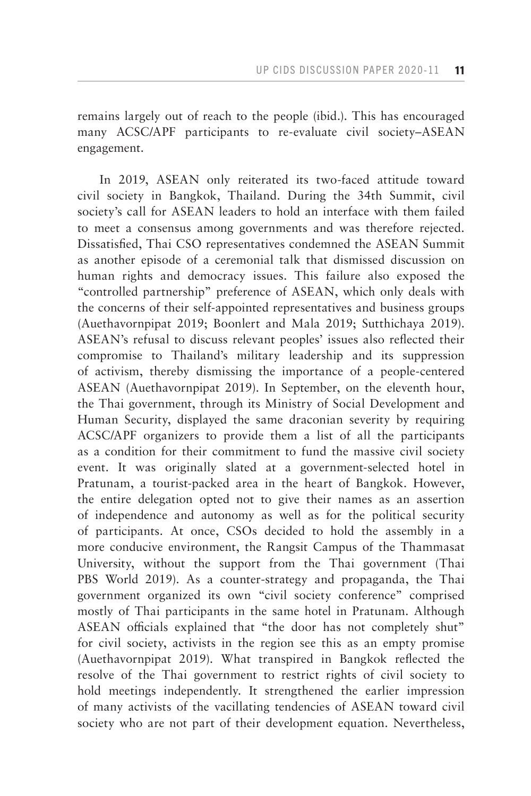remains largely out of reach to the people (ibid.). This has encouraged many ACSC/APF participants to re-evaluate civil society–ASEAN engagement.

In 2019, ASEAN only reiterated its two-faced attitude toward civil society in Bangkok, Thailand. During the 34th Summit, civil society's call for ASEAN leaders to hold an interface with them failed to meet a consensus among governments and was therefore rejected. Dissatisfied, Thai CSO representatives condemned the ASEAN Summit as another episode of a ceremonial talk that dismissed discussion on human rights and democracy issues. This failure also exposed the "controlled partnership" preference of ASEAN, which only deals with the concerns of their self-appointed representatives and business groups (Auethavornpipat 2019; Boonlert and Mala 2019; Sutthichaya 2019). ASEAN's refusal to discuss relevant peoples' issues also reflected their compromise to Thailand's military leadership and its suppression of activism, thereby dismissing the importance of a people-centered ASEAN (Auethavornpipat 2019). In September, on the eleventh hour, the Thai government, through its Ministry of Social Development and Human Security, displayed the same draconian severity by requiring ACSC/APF organizers to provide them a list of all the participants as a condition for their commitment to fund the massive civil society event. It was originally slated at a government-selected hotel in Pratunam, a tourist-packed area in the heart of Bangkok. However, the entire delegation opted not to give their names as an assertion of independence and autonomy as well as for the political security of participants. At once, CSOs decided to hold the assembly in a more conducive environment, the Rangsit Campus of the Thammasat University, without the support from the Thai government (Thai PBS World 2019). As a counter-strategy and propaganda, the Thai government organized its own "civil society conference" comprised mostly of Thai participants in the same hotel in Pratunam. Although ASEAN officials explained that "the door has not completely shut" for civil society, activists in the region see this as an empty promise (Auethavornpipat 2019). What transpired in Bangkok reflected the resolve of the Thai government to restrict rights of civil society to hold meetings independently. It strengthened the earlier impression of many activists of the vacillating tendencies of ASEAN toward civil society who are not part of their development equation. Nevertheless,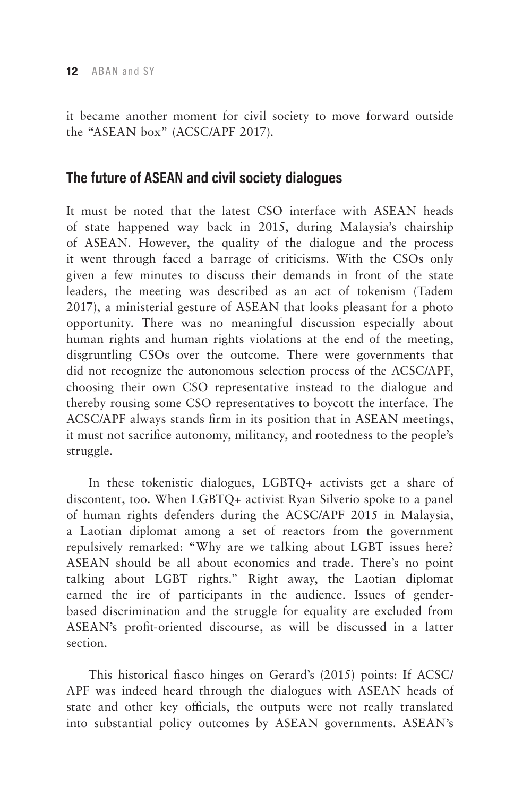it became another moment for civil society to move forward outside the "ASEAN box" (ACSC/APF 2017).

# **The future of ASEAN and civil society dialogues**

It must be noted that the latest CSO interface with ASEAN heads of state happened way back in 2015, during Malaysia's chairship of ASEAN. However, the quality of the dialogue and the process it went through faced a barrage of criticisms. With the CSOs only given a few minutes to discuss their demands in front of the state leaders, the meeting was described as an act of tokenism (Tadem 2017), a ministerial gesture of ASEAN that looks pleasant for a photo opportunity. There was no meaningful discussion especially about human rights and human rights violations at the end of the meeting, disgruntling CSOs over the outcome. There were governments that did not recognize the autonomous selection process of the ACSC/APF, choosing their own CSO representative instead to the dialogue and thereby rousing some CSO representatives to boycott the interface. The ACSC/APF always stands firm in its position that in ASEAN meetings, it must not sacrifice autonomy, militancy, and rootedness to the people's struggle.

In these tokenistic dialogues, LGBTQ+ activists get a share of discontent, too. When LGBTQ+ activist Ryan Silverio spoke to a panel of human rights defenders during the ACSC/APF 2015 in Malaysia, a Laotian diplomat among a set of reactors from the government repulsively remarked: "Why are we talking about LGBT issues here? ASEAN should be all about economics and trade. There's no point talking about LGBT rights." Right away, the Laotian diplomat earned the ire of participants in the audience. Issues of genderbased discrimination and the struggle for equality are excluded from ASEAN's profit-oriented discourse, as will be discussed in a latter section.

This historical fiasco hinges on Gerard's (2015) points: If ACSC/ APF was indeed heard through the dialogues with ASEAN heads of state and other key officials, the outputs were not really translated into substantial policy outcomes by ASEAN governments. ASEAN's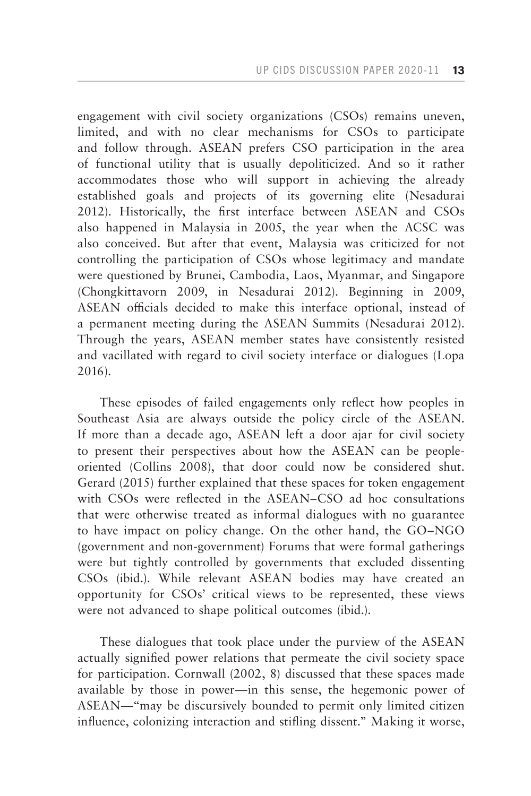engagement with civil society organizations (CSOs) remains uneven, limited, and with no clear mechanisms for CSOs to participate and follow through. ASEAN prefers CSO participation in the area of functional utility that is usually depoliticized. And so it rather accommodates those who will support in achieving the already established goals and projects of its governing elite (Nesadurai 2012). Historically, the first interface between ASEAN and CSOs also happened in Malaysia in 2005, the year when the ACSC was also conceived. But after that event, Malaysia was criticized for not controlling the participation of CSOs whose legitimacy and mandate were questioned by Brunei, Cambodia, Laos, Myanmar, and Singapore (Chongkittavorn 2009, in Nesadurai 2012). Beginning in 2009, ASEAN officials decided to make this interface optional, instead of a permanent meeting during the ASEAN Summits (Nesadurai 2012). Through the years, ASEAN member states have consistently resisted and vacillated with regard to civil society interface or dialogues (Lopa 2016).

These episodes of failed engagements only reflect how peoples in Southeast Asia are always outside the policy circle of the ASEAN. If more than a decade ago, ASEAN left a door ajar for civil society to present their perspectives about how the ASEAN can be peopleoriented (Collins 2008), that door could now be considered shut. Gerard (2015) further explained that these spaces for token engagement with CSOs were reflected in the ASEAN–CSO ad hoc consultations that were otherwise treated as informal dialogues with no guarantee to have impact on policy change. On the other hand, the GO–NGO (government and non-government) Forums that were formal gatherings were but tightly controlled by governments that excluded dissenting CSOs (ibid.). While relevant ASEAN bodies may have created an opportunity for CSOs' critical views to be represented, these views were not advanced to shape political outcomes (ibid.).

These dialogues that took place under the purview of the ASEAN actually signified power relations that permeate the civil society space for participation. Cornwall (2002, 8) discussed that these spaces made available by those in power—in this sense, the hegemonic power of ASEAN—"may be discursively bounded to permit only limited citizen influence, colonizing interaction and stifling dissent." Making it worse,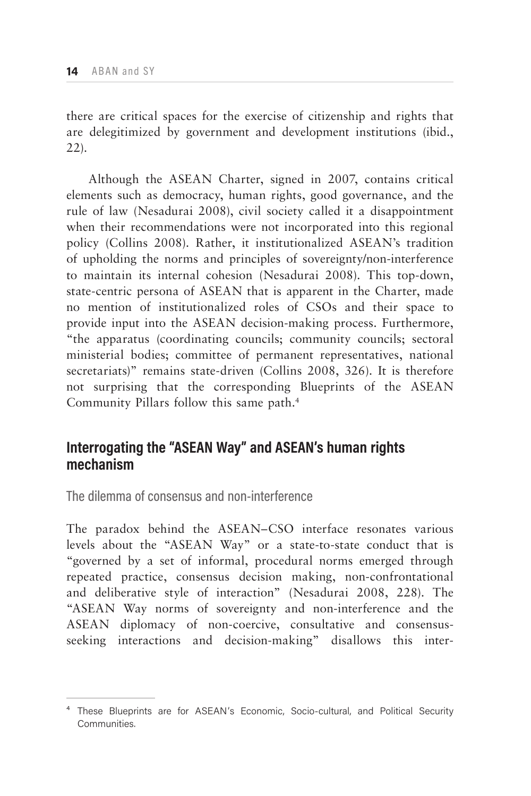there are critical spaces for the exercise of citizenship and rights that are delegitimized by government and development institutions (ibid., 22).

Although the ASEAN Charter, signed in 2007, contains critical elements such as democracy, human rights, good governance, and the rule of law (Nesadurai 2008), civil society called it a disappointment when their recommendations were not incorporated into this regional policy (Collins 2008). Rather, it institutionalized ASEAN's tradition of upholding the norms and principles of sovereignty/non-interference to maintain its internal cohesion (Nesadurai 2008). This top-down, state-centric persona of ASEAN that is apparent in the Charter, made no mention of institutionalized roles of CSOs and their space to provide input into the ASEAN decision-making process. Furthermore, "the apparatus (coordinating councils; community councils; sectoral ministerial bodies; committee of permanent representatives, national secretariats)" remains state-driven (Collins 2008, 326). It is therefore not surprising that the corresponding Blueprints of the ASEAN Community Pillars follow this same path.4

# **Interrogating the "ASEAN Way" and ASEAN's human rights mechanism**

The dilemma of consensus and non-interference

The paradox behind the ASEAN–CSO interface resonates various levels about the "ASEAN Way" or a state-to-state conduct that is "governed by a set of informal, procedural norms emerged through repeated practice, consensus decision making, non-confrontational and deliberative style of interaction" (Nesadurai 2008, 228). The "ASEAN Way norms of sovereignty and non-interference and the ASEAN diplomacy of non-coercive, consultative and consensusseeking interactions and decision-making" disallows this inter-

<sup>&</sup>lt;sup>4</sup> These Blueprints are for ASEAN's Economic, Socio-cultural, and Political Security Communities.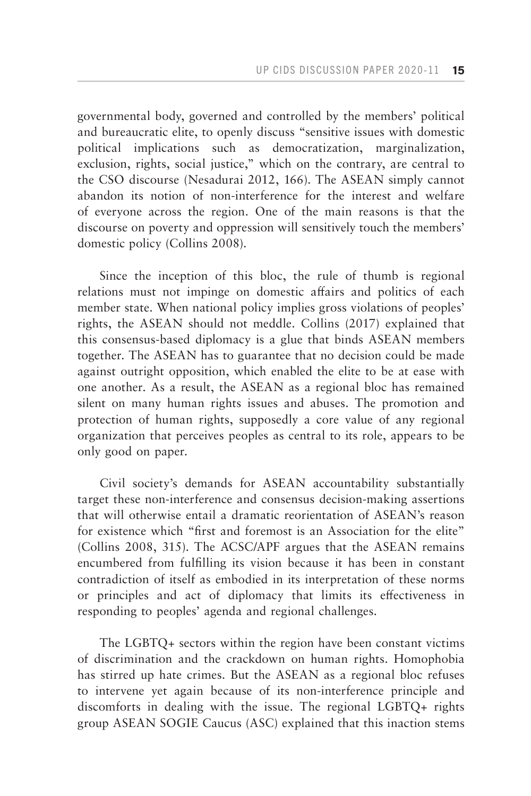governmental body, governed and controlled by the members' political and bureaucratic elite, to openly discuss "sensitive issues with domestic political implications such as democratization, marginalization, exclusion, rights, social justice," which on the contrary, are central to the CSO discourse (Nesadurai 2012, 166). The ASEAN simply cannot abandon its notion of non-interference for the interest and welfare of everyone across the region. One of the main reasons is that the discourse on poverty and oppression will sensitively touch the members' domestic policy (Collins 2008).

Since the inception of this bloc, the rule of thumb is regional relations must not impinge on domestic affairs and politics of each member state. When national policy implies gross violations of peoples' rights, the ASEAN should not meddle. Collins (2017) explained that this consensus-based diplomacy is a glue that binds ASEAN members together. The ASEAN has to guarantee that no decision could be made against outright opposition, which enabled the elite to be at ease with one another. As a result, the ASEAN as a regional bloc has remained silent on many human rights issues and abuses. The promotion and protection of human rights, supposedly a core value of any regional organization that perceives peoples as central to its role, appears to be only good on paper.

Civil society's demands for ASEAN accountability substantially target these non-interference and consensus decision-making assertions that will otherwise entail a dramatic reorientation of ASEAN's reason for existence which "first and foremost is an Association for the elite" (Collins 2008, 315). The ACSC/APF argues that the ASEAN remains encumbered from fulfilling its vision because it has been in constant contradiction of itself as embodied in its interpretation of these norms or principles and act of diplomacy that limits its effectiveness in responding to peoples' agenda and regional challenges.

The LGBTQ+ sectors within the region have been constant victims of discrimination and the crackdown on human rights. Homophobia has stirred up hate crimes. But the ASEAN as a regional bloc refuses to intervene yet again because of its non-interference principle and discomforts in dealing with the issue. The regional LGBTQ+ rights group ASEAN SOGIE Caucus (ASC) explained that this inaction stems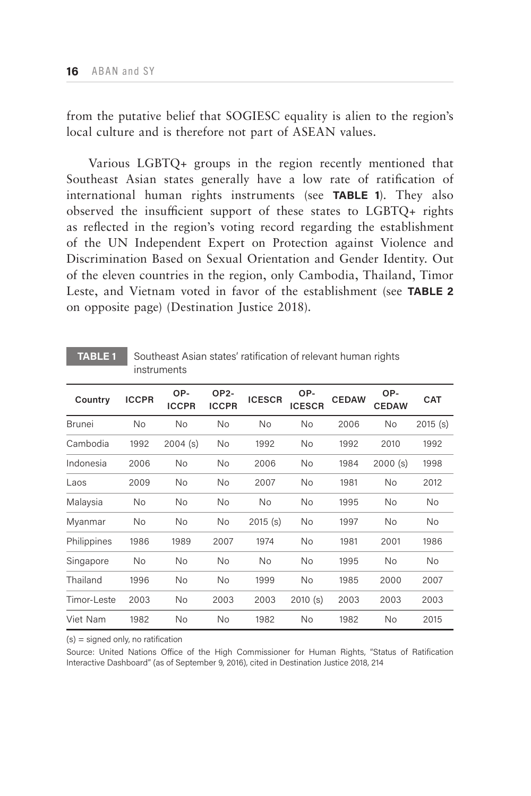from the putative belief that SOGIESC equality is alien to the region's local culture and is therefore not part of ASEAN values.

Various LGBTQ+ groups in the region recently mentioned that Southeast Asian states generally have a low rate of ratification of international human rights instruments (see **TABLE 1**). They also observed the insufficient support of these states to LGBTQ+ rights as reflected in the region's voting record regarding the establishment of the UN Independent Expert on Protection against Violence and Discrimination Based on Sexual Orientation and Gender Identity. Out of the eleven countries in the region, only Cambodia, Thailand, Timor Leste, and Vietnam voted in favor of the establishment (see **TABLE 2**  on opposite page) (Destination Justice 2018).

| Country       | <b>ICCPR</b> | OP-<br><b>ICCPR</b> | OP2-<br><b>ICCPR</b> | <b>ICESCR</b> | OP-<br><b>ICESCR</b> | <b>CEDAW</b> | OP-<br><b>CEDAW</b> | <b>CAT</b> |
|---------------|--------------|---------------------|----------------------|---------------|----------------------|--------------|---------------------|------------|
| <b>Brunei</b> | No           | <b>No</b>           | No                   | No            | No                   | 2006         | No                  | 2015(s)    |
| Cambodia      | 1992         | 2004(s)             | <b>No</b>            | 1992          | No                   | 1992         | 2010                | 1992       |
| Indonesia     | 2006         | <b>No</b>           | <b>No</b>            | 2006          | No                   | 1984         | 2000(s)             | 1998       |
| Laos          | 2009         | <b>No</b>           | <b>No</b>            | 2007          | <b>No</b>            | 1981         | No                  | 2012       |
| Malaysia      | No           | <b>No</b>           | No                   | <b>No</b>     | No                   | 1995         | No                  | <b>No</b>  |
| Myanmar       | No           | No                  | No                   | 2015(s)       | No                   | 1997         | No                  | <b>No</b>  |
| Philippines   | 1986         | 1989                | 2007                 | 1974          | <b>No</b>            | 1981         | 2001                | 1986       |
| Singapore     | No           | No                  | No                   | No            | No                   | 1995         | No                  | No         |
| Thailand      | 1996         | No                  | No                   | 1999          | No                   | 1985         | 2000                | 2007       |
| Timor-Leste   | 2003         | No                  | 2003                 | 2003          | 2010(s)              | 2003         | 2003                | 2003       |
| Viet Nam      | 1982         | No                  | <b>No</b>            | 1982          | <b>No</b>            | 1982         | <b>No</b>           | 2015       |

#### **TABLE 1** Southeast Asian states' ratification of relevant human rights instruments

 $(s)$  = signed only, no ratification

Source: United Nations Office of the High Commissioner for Human Rights, "Status of Ratification Interactive Dashboard" (as of September 9, 2016), cited in Destination Justice 2018, 214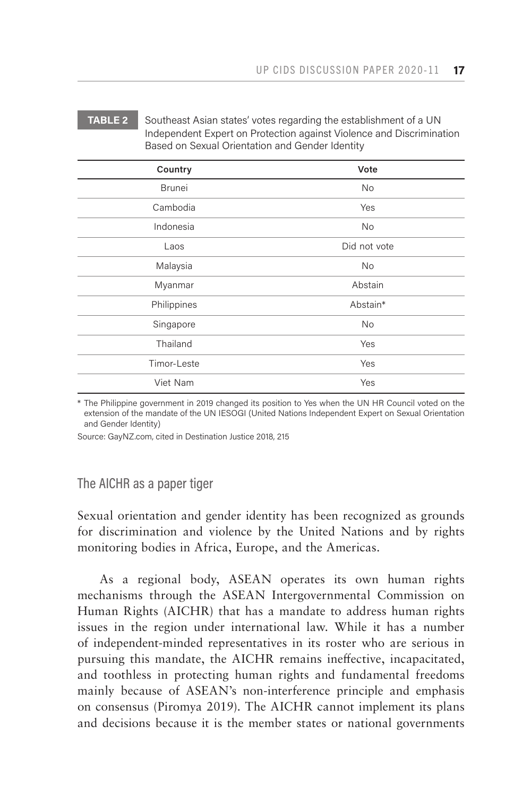#### **TABLE 2** Southeast Asian states' votes regarding the establishment of a UN Independent Expert on Protection against Violence and Discrimination Based on Sexual Orientation and Gender Identity

| Country       | Vote         |  |  |
|---------------|--------------|--|--|
| <b>Brunei</b> | No           |  |  |
| Cambodia      | Yes          |  |  |
| Indonesia     | No           |  |  |
| Laos          | Did not vote |  |  |
| Malaysia      | No           |  |  |
| Myanmar       | Abstain      |  |  |
| Philippines   | Abstain*     |  |  |
| Singapore     | No           |  |  |
| Thailand      | Yes          |  |  |
| Timor-Leste   | Yes          |  |  |
| Viet Nam      | Yes          |  |  |

\* The Philippine government in 2019 changed its position to Yes when the UN HR Council voted on the extension of the mandate of the UN IESOGI (United Nations Independent Expert on Sexual Orientation and Gender Identity)

Source: GayNZ.com, cited in Destination Justice 2018, 215

## The AICHR as a paper tiger

Sexual orientation and gender identity has been recognized as grounds for discrimination and violence by the United Nations and by rights monitoring bodies in Africa, Europe, and the Americas.

As a regional body, ASEAN operates its own human rights mechanisms through the ASEAN Intergovernmental Commission on Human Rights (AICHR) that has a mandate to address human rights issues in the region under international law. While it has a number of independent-minded representatives in its roster who are serious in pursuing this mandate, the AICHR remains ineffective, incapacitated, and toothless in protecting human rights and fundamental freedoms mainly because of ASEAN's non-interference principle and emphasis on consensus (Piromya 2019). The AICHR cannot implement its plans and decisions because it is the member states or national governments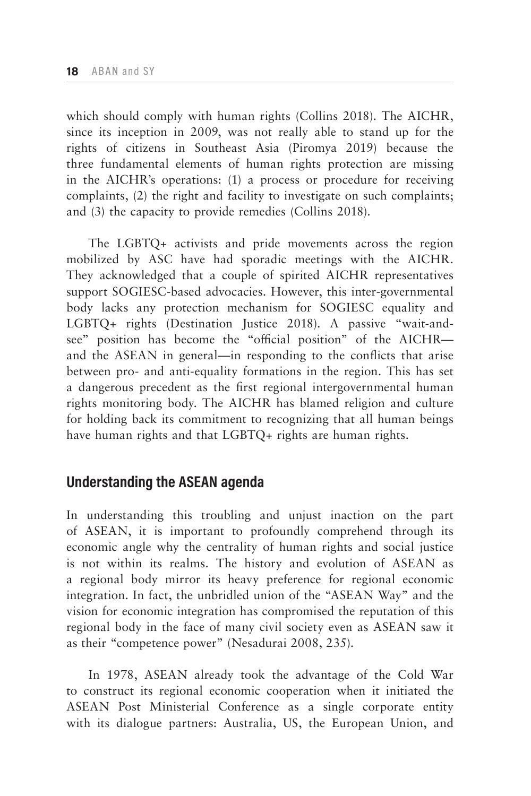which should comply with human rights (Collins 2018). The AICHR, since its inception in 2009, was not really able to stand up for the rights of citizens in Southeast Asia (Piromya 2019) because the three fundamental elements of human rights protection are missing in the AICHR's operations: (1) a process or procedure for receiving complaints, (2) the right and facility to investigate on such complaints; and (3) the capacity to provide remedies (Collins 2018).

The LGBTQ+ activists and pride movements across the region mobilized by ASC have had sporadic meetings with the AICHR. They acknowledged that a couple of spirited AICHR representatives support SOGIESC-based advocacies. However, this inter-governmental body lacks any protection mechanism for SOGIESC equality and LGBTQ+ rights (Destination Justice 2018). A passive "wait-andsee" position has become the "official position" of the AICHR and the ASEAN in general—in responding to the conflicts that arise between pro- and anti-equality formations in the region. This has set a dangerous precedent as the first regional intergovernmental human rights monitoring body. The AICHR has blamed religion and culture for holding back its commitment to recognizing that all human beings have human rights and that LGBTQ+ rights are human rights.

# **Understanding the ASEAN agenda**

In understanding this troubling and unjust inaction on the part of ASEAN, it is important to profoundly comprehend through its economic angle why the centrality of human rights and social justice is not within its realms. The history and evolution of ASEAN as a regional body mirror its heavy preference for regional economic integration. In fact, the unbridled union of the "ASEAN Way" and the vision for economic integration has compromised the reputation of this regional body in the face of many civil society even as ASEAN saw it as their "competence power" (Nesadurai 2008, 235).

In 1978, ASEAN already took the advantage of the Cold War to construct its regional economic cooperation when it initiated the ASEAN Post Ministerial Conference as a single corporate entity with its dialogue partners: Australia, US, the European Union, and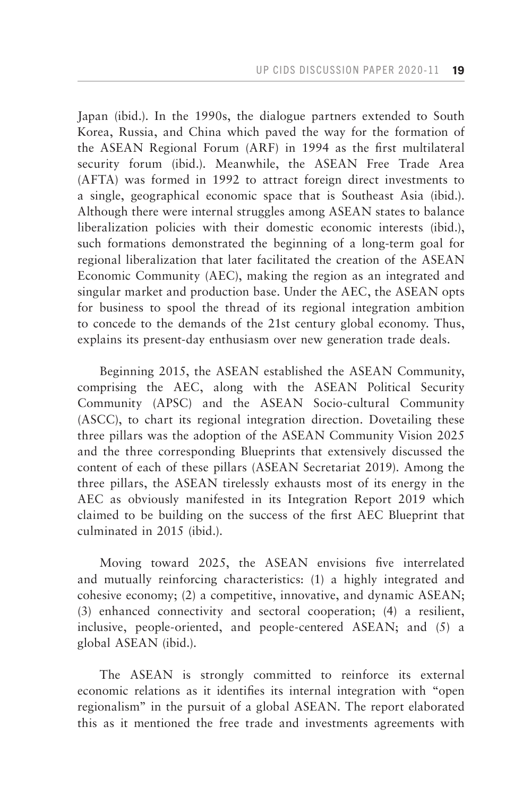Japan (ibid.). In the 1990s, the dialogue partners extended to South Korea, Russia, and China which paved the way for the formation of the ASEAN Regional Forum (ARF) in 1994 as the first multilateral security forum (ibid.). Meanwhile, the ASEAN Free Trade Area (AFTA) was formed in 1992 to attract foreign direct investments to a single, geographical economic space that is Southeast Asia (ibid.). Although there were internal struggles among ASEAN states to balance liberalization policies with their domestic economic interests (ibid.), such formations demonstrated the beginning of a long-term goal for regional liberalization that later facilitated the creation of the ASEAN Economic Community (AEC), making the region as an integrated and singular market and production base. Under the AEC, the ASEAN opts for business to spool the thread of its regional integration ambition to concede to the demands of the 21st century global economy. Thus, explains its present-day enthusiasm over new generation trade deals.

Beginning 2015, the ASEAN established the ASEAN Community, comprising the AEC, along with the ASEAN Political Security Community (APSC) and the ASEAN Socio-cultural Community (ASCC), to chart its regional integration direction. Dovetailing these three pillars was the adoption of the ASEAN Community Vision 2025 and the three corresponding Blueprints that extensively discussed the content of each of these pillars (ASEAN Secretariat 2019). Among the three pillars, the ASEAN tirelessly exhausts most of its energy in the AEC as obviously manifested in its Integration Report 2019 which claimed to be building on the success of the first AEC Blueprint that culminated in 2015 (ibid.).

Moving toward 2025, the ASEAN envisions five interrelated and mutually reinforcing characteristics: (1) a highly integrated and cohesive economy; (2) a competitive, innovative, and dynamic ASEAN; (3) enhanced connectivity and sectoral cooperation; (4) a resilient, inclusive, people-oriented, and people-centered ASEAN; and (5) a global ASEAN (ibid.).

The ASEAN is strongly committed to reinforce its external economic relations as it identifies its internal integration with "open regionalism" in the pursuit of a global ASEAN. The report elaborated this as it mentioned the free trade and investments agreements with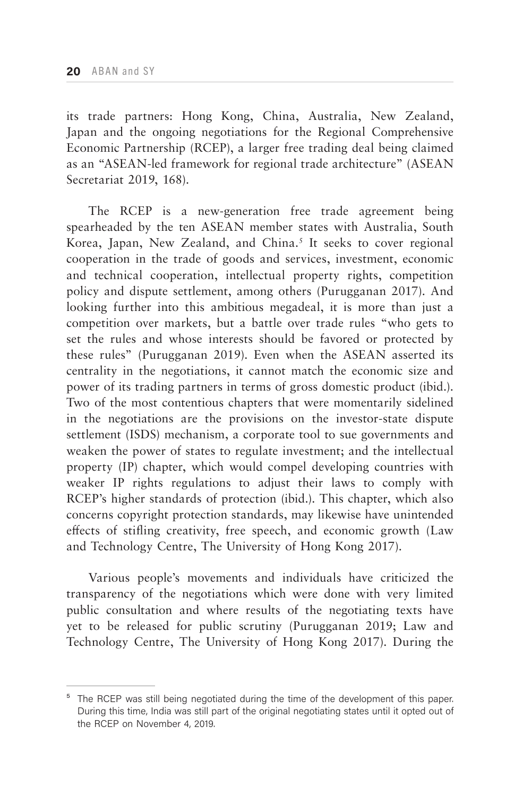its trade partners: Hong Kong, China, Australia, New Zealand, Japan and the ongoing negotiations for the Regional Comprehensive Economic Partnership (RCEP), a larger free trading deal being claimed as an "ASEAN-led framework for regional trade architecture" (ASEAN Secretariat 2019, 168).

The RCEP is a new-generation free trade agreement being spearheaded by the ten ASEAN member states with Australia, South Korea, Japan, New Zealand, and China.<sup>5</sup> It seeks to cover regional cooperation in the trade of goods and services, investment, economic and technical cooperation, intellectual property rights, competition policy and dispute settlement, among others (Purugganan 2017). And looking further into this ambitious megadeal, it is more than just a competition over markets, but a battle over trade rules "who gets to set the rules and whose interests should be favored or protected by these rules" (Purugganan 2019). Even when the ASEAN asserted its centrality in the negotiations, it cannot match the economic size and power of its trading partners in terms of gross domestic product (ibid.). Two of the most contentious chapters that were momentarily sidelined in the negotiations are the provisions on the investor-state dispute settlement (ISDS) mechanism, a corporate tool to sue governments and weaken the power of states to regulate investment; and the intellectual property (IP) chapter, which would compel developing countries with weaker IP rights regulations to adjust their laws to comply with RCEP's higher standards of protection (ibid.). This chapter, which also concerns copyright protection standards, may likewise have unintended effects of stifling creativity, free speech, and economic growth (Law and Technology Centre, The University of Hong Kong 2017).

Various people's movements and individuals have criticized the transparency of the negotiations which were done with very limited public consultation and where results of the negotiating texts have yet to be released for public scrutiny (Purugganan 2019; Law and Technology Centre, The University of Hong Kong 2017). During the

<sup>&</sup>lt;sup>5</sup> The RCEP was still being negotiated during the time of the development of this paper. During this time, India was still part of the original negotiating states until it opted out of the RCEP on November 4, 2019.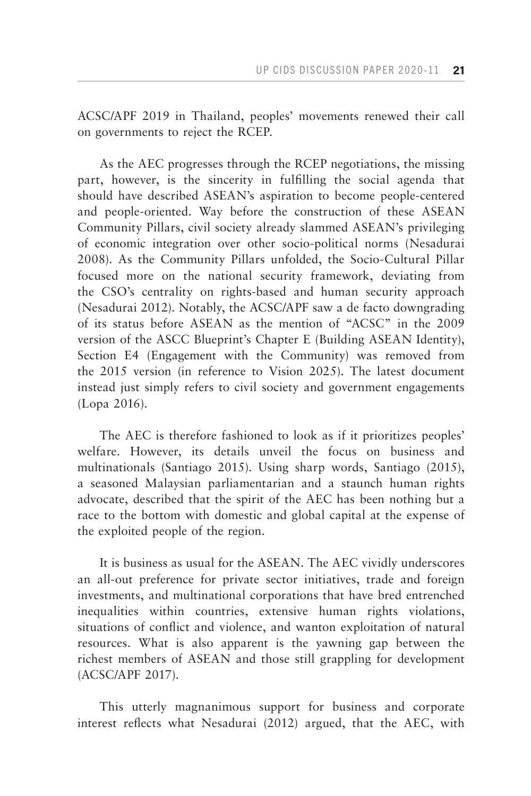ACSC/APF 2019 in Thailand, peoples' movements renewed their call on governments to reject the RCEP.

As the AEC progresses through the RCEP negotiations, the missing part, however, is the sincerity in fulfilling the social agenda that should have described ASEAN's aspiration to become people-centered and people-oriented. Way before the construction of these ASEAN Community Pillars, civil society already slammed ASEAN's privileging of economic integration over other socio-political norms (Nesadurai 2008). As the Community Pillars unfolded, the Socio-Cultural Pillar focused more on the national security framework, deviating from the CSO's centrality on rights-based and human security approach (Nesadurai 2012). Notably, the ACSC/APF saw a de facto downgrading of its status before ASEAN as the mention of "ACSC" in the 2009 version of the ASCC Blueprint's Chapter E (Building ASEAN Identity), Section E4 (Engagement with the Community) was removed from the 2015 version (in reference to Vision 2025). The latest document instead just simply refers to civil society and government engagements (Lopa 2016).

The AEC is therefore fashioned to look as if it prioritizes peoples' welfare. However, its details unveil the focus on business and multinationals (Santiago 2015). Using sharp words, Santiago (2015), a seasoned Malaysian parliamentarian and a staunch human rights advocate, described that the spirit of the AEC has been nothing but a race to the bottom with domestic and global capital at the expense of the exploited people of the region.

It is business as usual for the ASEAN. The AEC vividly underscores an all-out preference for private sector initiatives, trade and foreign investments, and multinational corporations that have bred entrenched inequalities within countries, extensive human rights violations, situations of conflict and violence, and wanton exploitation of natural resources. What is also apparent is the yawning gap between the richest members of ASEAN and those still grappling for development (ACSC/APF 2017).

This utterly magnanimous support for business and corporate interest reflects what Nesadurai (2012) argued, that the AEC, with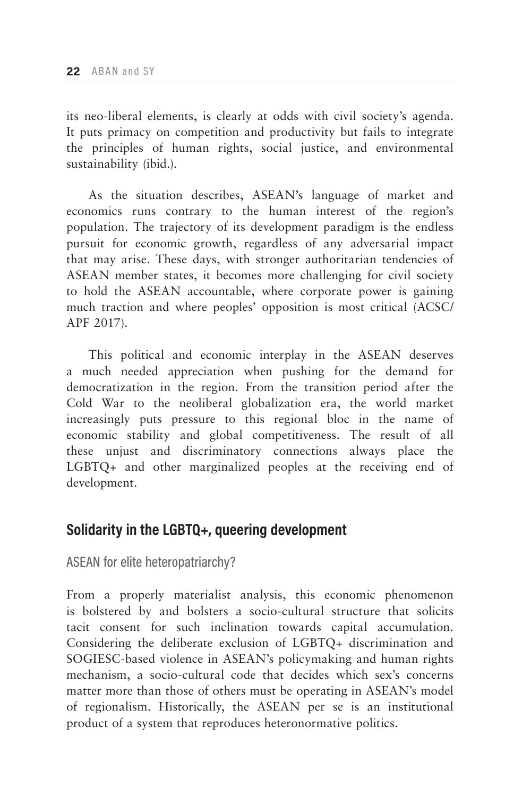its neo-liberal elements, is clearly at odds with civil society's agenda. It puts primacy on competition and productivity but fails to integrate the principles of human rights, social justice, and environmental sustainability (ibid.).

As the situation describes, ASEAN's language of market and economics runs contrary to the human interest of the region's population. The trajectory of its development paradigm is the endless pursuit for economic growth, regardless of any adversarial impact that may arise. These days, with stronger authoritarian tendencies of ASEAN member states, it becomes more challenging for civil society to hold the ASEAN accountable, where corporate power is gaining much traction and where peoples' opposition is most critical (ACSC/ APF 2017).

This political and economic interplay in the ASEAN deserves a much needed appreciation when pushing for the demand for democratization in the region. From the transition period after the Cold War to the neoliberal globalization era, the world market increasingly puts pressure to this regional bloc in the name of economic stability and global competitiveness. The result of all these unjust and discriminatory connections always place the LGBTQ+ and other marginalized peoples at the receiving end of development.

# **Solidarity in the LGBTQ+, queering development**

## ASEAN for elite heteropatriarchy?

From a properly materialist analysis, this economic phenomenon is bolstered by and bolsters a socio-cultural structure that solicits tacit consent for such inclination towards capital accumulation. Considering the deliberate exclusion of LGBTQ+ discrimination and SOGIESC-based violence in ASEAN's policymaking and human rights mechanism, a socio-cultural code that decides which sex's concerns matter more than those of others must be operating in ASEAN's model of regionalism. Historically, the ASEAN per se is an institutional product of a system that reproduces heteronormative politics.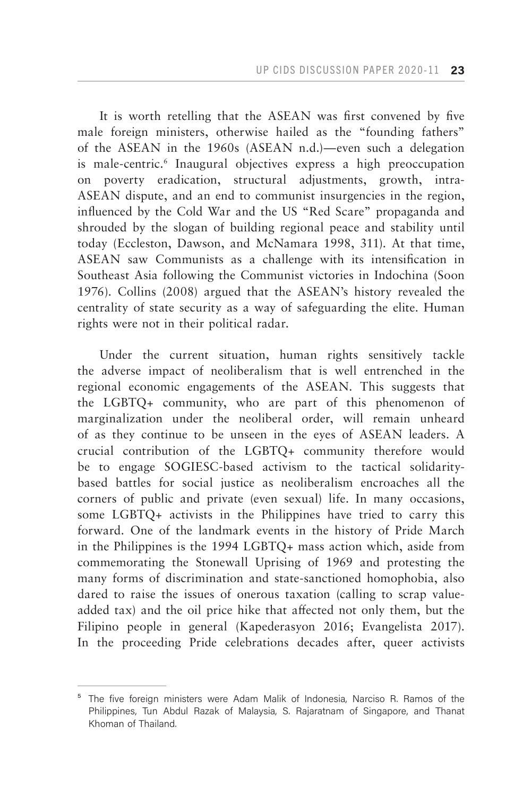It is worth retelling that the ASEAN was first convened by five male foreign ministers, otherwise hailed as the "founding fathers" of the ASEAN in the 1960s (ASEAN n.d.)—even such a delegation is male-centric.<sup>6</sup> Inaugural objectives express a high preoccupation on poverty eradication, structural adjustments, growth, intra-ASEAN dispute, and an end to communist insurgencies in the region, influenced by the Cold War and the US "Red Scare" propaganda and shrouded by the slogan of building regional peace and stability until today (Eccleston, Dawson, and McNamara 1998, 311). At that time, ASEAN saw Communists as a challenge with its intensification in Southeast Asia following the Communist victories in Indochina (Soon 1976). Collins (2008) argued that the ASEAN's history revealed the centrality of state security as a way of safeguarding the elite. Human rights were not in their political radar.

Under the current situation, human rights sensitively tackle the adverse impact of neoliberalism that is well entrenched in the regional economic engagements of the ASEAN. This suggests that the LGBTQ+ community, who are part of this phenomenon of marginalization under the neoliberal order, will remain unheard of as they continue to be unseen in the eyes of ASEAN leaders. A crucial contribution of the LGBTQ+ community therefore would be to engage SOGIESC-based activism to the tactical solidaritybased battles for social justice as neoliberalism encroaches all the corners of public and private (even sexual) life. In many occasions, some LGBTQ+ activists in the Philippines have tried to carry this forward. One of the landmark events in the history of Pride March in the Philippines is the 1994 LGBTQ+ mass action which, aside from commemorating the Stonewall Uprising of 1969 and protesting the many forms of discrimination and state-sanctioned homophobia, also dared to raise the issues of onerous taxation (calling to scrap valueadded tax) and the oil price hike that affected not only them, but the Filipino people in general (Kapederasyon 2016; Evangelista 2017). In the proceeding Pride celebrations decades after, queer activists

<sup>&</sup>lt;sup>5</sup> The five foreign ministers were Adam Malik of Indonesia, Narciso R. Ramos of the Philippines, Tun Abdul Razak of Malaysia, S. Rajaratnam of Singapore, and Thanat Khoman of Thailand.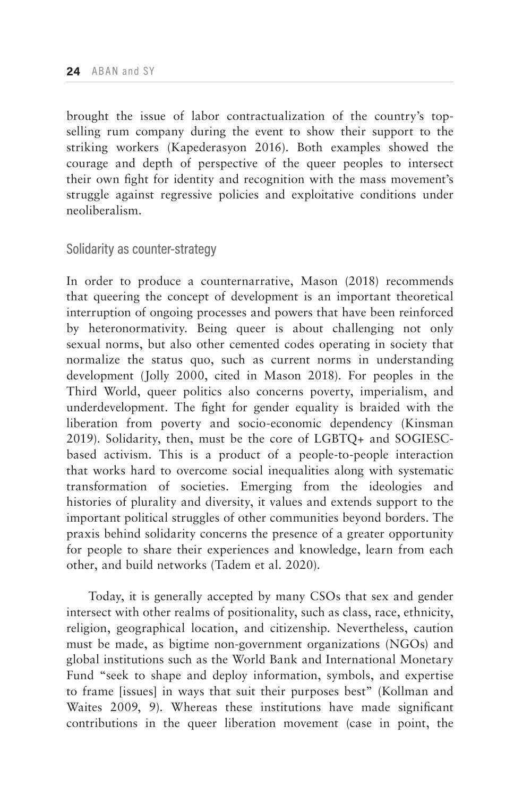brought the issue of labor contractualization of the country's topselling rum company during the event to show their support to the striking workers (Kapederasyon 2016). Both examples showed the courage and depth of perspective of the queer peoples to intersect their own fight for identity and recognition with the mass movement's struggle against regressive policies and exploitative conditions under neoliberalism.

## Solidarity as counter-strategy

In order to produce a counternarrative, Mason (2018) recommends that queering the concept of development is an important theoretical interruption of ongoing processes and powers that have been reinforced by heteronormativity. Being queer is about challenging not only sexual norms, but also other cemented codes operating in society that normalize the status quo, such as current norms in understanding development (Jolly 2000, cited in Mason 2018). For peoples in the Third World, queer politics also concerns poverty, imperialism, and underdevelopment. The fight for gender equality is braided with the liberation from poverty and socio-economic dependency (Kinsman 2019). Solidarity, then, must be the core of LGBTQ+ and SOGIESCbased activism. This is a product of a people-to-people interaction that works hard to overcome social inequalities along with systematic transformation of societies. Emerging from the ideologies and histories of plurality and diversity, it values and extends support to the important political struggles of other communities beyond borders. The praxis behind solidarity concerns the presence of a greater opportunity for people to share their experiences and knowledge, learn from each other, and build networks (Tadem et al. 2020).

Today, it is generally accepted by many CSOs that sex and gender intersect with other realms of positionality, such as class, race, ethnicity, religion, geographical location, and citizenship. Nevertheless, caution must be made, as bigtime non-government organizations (NGOs) and global institutions such as the World Bank and International Monetary Fund "seek to shape and deploy information, symbols, and expertise to frame [issues] in ways that suit their purposes best" (Kollman and Waites 2009, 9). Whereas these institutions have made significant contributions in the queer liberation movement (case in point, the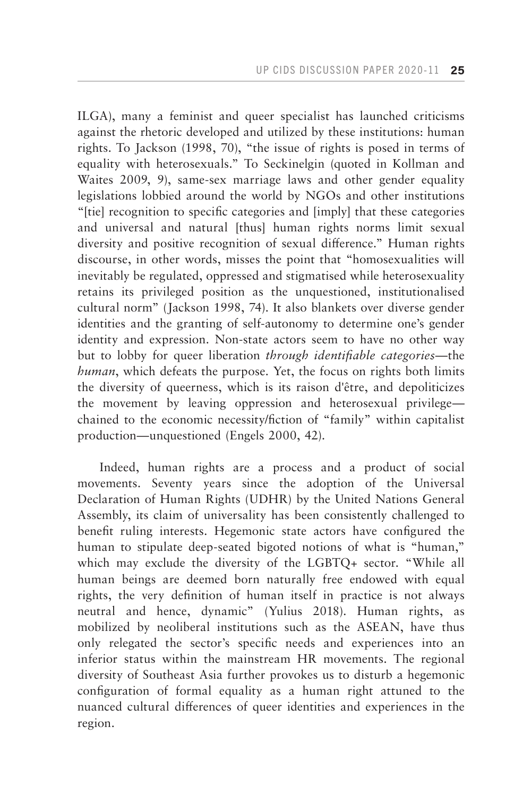ILGA), many a feminist and queer specialist has launched criticisms against the rhetoric developed and utilized by these institutions: human rights. To Jackson (1998, 70), "the issue of rights is posed in terms of equality with heterosexuals." To Seckinelgin (quoted in Kollman and Waites 2009, 9), same-sex marriage laws and other gender equality legislations lobbied around the world by NGOs and other institutions "[tie] recognition to specific categories and [imply] that these categories and universal and natural [thus] human rights norms limit sexual diversity and positive recognition of sexual difference." Human rights discourse, in other words, misses the point that "homosexualities will inevitably be regulated, oppressed and stigmatised while heterosexuality retains its privileged position as the unquestioned, institutionalised cultural norm" (Jackson 1998, 74). It also blankets over diverse gender identities and the granting of self-autonomy to determine one's gender identity and expression. Non-state actors seem to have no other way but to lobby for queer liberation *through identifiable categories*—the *human*, which defeats the purpose. Yet, the focus on rights both limits the diversity of queerness, which is its raison d'être, and depoliticizes the movement by leaving oppression and heterosexual privilege chained to the economic necessity/fiction of "family" within capitalist production—unquestioned (Engels 2000, 42).

Indeed, human rights are a process and a product of social movements. Seventy years since the adoption of the Universal Declaration of Human Rights (UDHR) by the United Nations General Assembly, its claim of universality has been consistently challenged to benefit ruling interests. Hegemonic state actors have configured the human to stipulate deep-seated bigoted notions of what is "human," which may exclude the diversity of the LGBTQ+ sector. "While all human beings are deemed born naturally free endowed with equal rights, the very definition of human itself in practice is not always neutral and hence, dynamic" (Yulius 2018). Human rights, as mobilized by neoliberal institutions such as the ASEAN, have thus only relegated the sector's specific needs and experiences into an inferior status within the mainstream HR movements. The regional diversity of Southeast Asia further provokes us to disturb a hegemonic configuration of formal equality as a human right attuned to the nuanced cultural differences of queer identities and experiences in the region.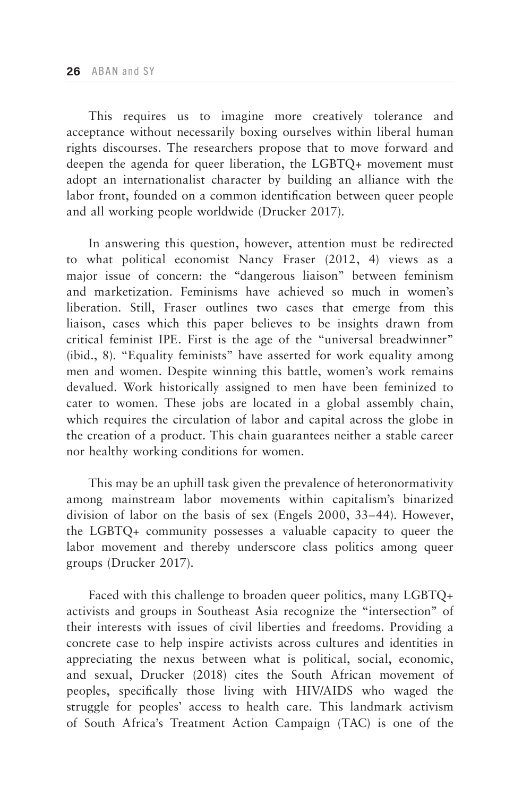This requires us to imagine more creatively tolerance and acceptance without necessarily boxing ourselves within liberal human rights discourses. The researchers propose that to move forward and deepen the agenda for queer liberation, the LGBTQ+ movement must adopt an internationalist character by building an alliance with the labor front, founded on a common identification between queer people and all working people worldwide (Drucker 2017).

In answering this question, however, attention must be redirected to what political economist Nancy Fraser (2012, 4) views as a major issue of concern: the "dangerous liaison" between feminism and marketization. Feminisms have achieved so much in women's liberation. Still, Fraser outlines two cases that emerge from this liaison, cases which this paper believes to be insights drawn from critical feminist IPE. First is the age of the "universal breadwinner" (ibid., 8). "Equality feminists" have asserted for work equality among men and women. Despite winning this battle, women's work remains devalued. Work historically assigned to men have been feminized to cater to women. These jobs are located in a global assembly chain, which requires the circulation of labor and capital across the globe in the creation of a product. This chain guarantees neither a stable career nor healthy working conditions for women.

This may be an uphill task given the prevalence of heteronormativity among mainstream labor movements within capitalism's binarized division of labor on the basis of sex (Engels 2000, 33–44). However, the LGBTQ+ community possesses a valuable capacity to queer the labor movement and thereby underscore class politics among queer groups (Drucker 2017).

Faced with this challenge to broaden queer politics, many LGBTQ+ activists and groups in Southeast Asia recognize the "intersection" of their interests with issues of civil liberties and freedoms. Providing a concrete case to help inspire activists across cultures and identities in appreciating the nexus between what is political, social, economic, and sexual, Drucker (2018) cites the South African movement of peoples, specifically those living with HIV/AIDS who waged the struggle for peoples' access to health care. This landmark activism of South Africa's Treatment Action Campaign (TAC) is one of the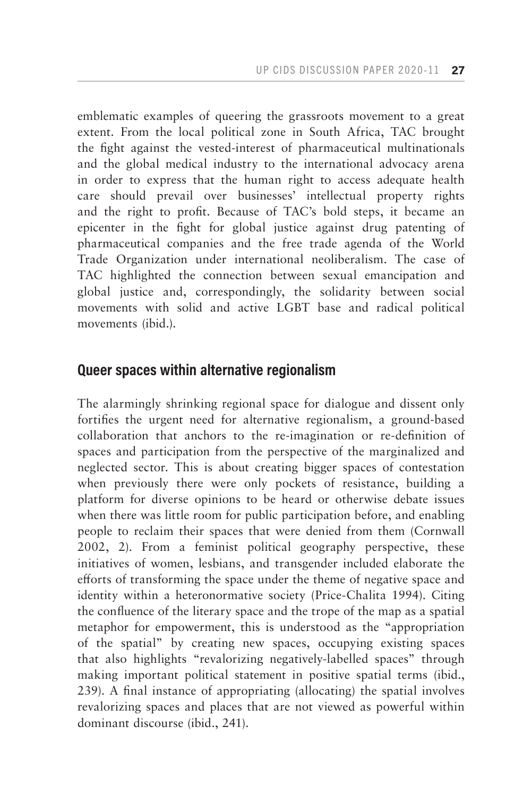emblematic examples of queering the grassroots movement to a great extent. From the local political zone in South Africa, TAC brought the fight against the vested-interest of pharmaceutical multinationals and the global medical industry to the international advocacy arena in order to express that the human right to access adequate health care should prevail over businesses' intellectual property rights and the right to profit. Because of TAC's bold steps, it became an epicenter in the fight for global justice against drug patenting of pharmaceutical companies and the free trade agenda of the World Trade Organization under international neoliberalism. The case of TAC highlighted the connection between sexual emancipation and global justice and, correspondingly, the solidarity between social movements with solid and active LGBT base and radical political movements (ibid.).

# **Queer spaces within alternative regionalism**

The alarmingly shrinking regional space for dialogue and dissent only fortifies the urgent need for alternative regionalism, a ground-based collaboration that anchors to the re-imagination or re-definition of spaces and participation from the perspective of the marginalized and neglected sector. This is about creating bigger spaces of contestation when previously there were only pockets of resistance, building a platform for diverse opinions to be heard or otherwise debate issues when there was little room for public participation before, and enabling people to reclaim their spaces that were denied from them (Cornwall 2002, 2). From a feminist political geography perspective, these initiatives of women, lesbians, and transgender included elaborate the efforts of transforming the space under the theme of negative space and identity within a heteronormative society (Price-Chalita 1994). Citing the confluence of the literary space and the trope of the map as a spatial metaphor for empowerment, this is understood as the "appropriation of the spatial" by creating new spaces, occupying existing spaces that also highlights "revalorizing negatively-labelled spaces" through making important political statement in positive spatial terms (ibid., 239). A final instance of appropriating (allocating) the spatial involves revalorizing spaces and places that are not viewed as powerful within dominant discourse (ibid., 241).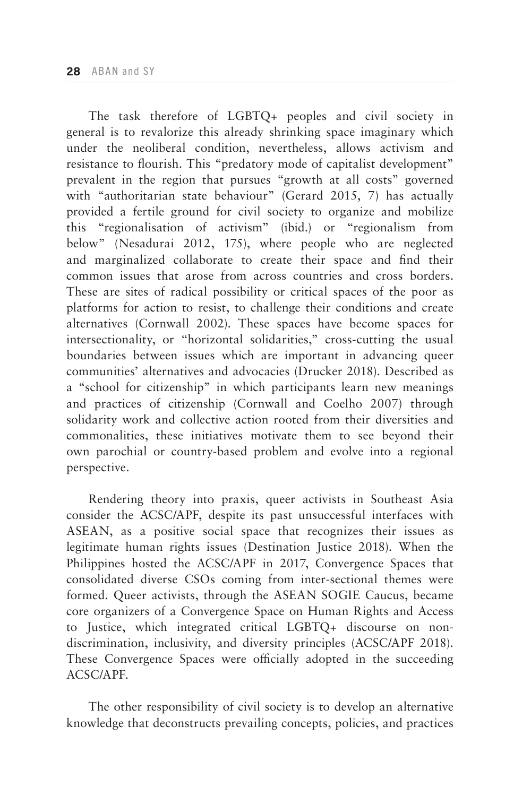The task therefore of LGBTQ+ peoples and civil society in general is to revalorize this already shrinking space imaginary which under the neoliberal condition, nevertheless, allows activism and resistance to flourish. This "predatory mode of capitalist development" prevalent in the region that pursues "growth at all costs" governed with "authoritarian state behaviour" (Gerard 2015, 7) has actually provided a fertile ground for civil society to organize and mobilize this "regionalisation of activism" (ibid.) or "regionalism from below" (Nesadurai 2012, 175), where people who are neglected and marginalized collaborate to create their space and find their common issues that arose from across countries and cross borders. These are sites of radical possibility or critical spaces of the poor as platforms for action to resist, to challenge their conditions and create alternatives (Cornwall 2002). These spaces have become spaces for intersectionality, or "horizontal solidarities," cross-cutting the usual boundaries between issues which are important in advancing queer communities' alternatives and advocacies (Drucker 2018). Described as a "school for citizenship" in which participants learn new meanings and practices of citizenship (Cornwall and Coelho 2007) through solidarity work and collective action rooted from their diversities and commonalities, these initiatives motivate them to see beyond their own parochial or country-based problem and evolve into a regional perspective.

Rendering theory into praxis, queer activists in Southeast Asia consider the ACSC/APF, despite its past unsuccessful interfaces with ASEAN, as a positive social space that recognizes their issues as legitimate human rights issues (Destination Justice 2018). When the Philippines hosted the ACSC/APF in 2017, Convergence Spaces that consolidated diverse CSOs coming from inter-sectional themes were formed. Queer activists, through the ASEAN SOGIE Caucus, became core organizers of a Convergence Space on Human Rights and Access to Justice, which integrated critical LGBTQ+ discourse on nondiscrimination, inclusivity, and diversity principles (ACSC/APF 2018). These Convergence Spaces were officially adopted in the succeeding ACSC/APF.

The other responsibility of civil society is to develop an alternative knowledge that deconstructs prevailing concepts, policies, and practices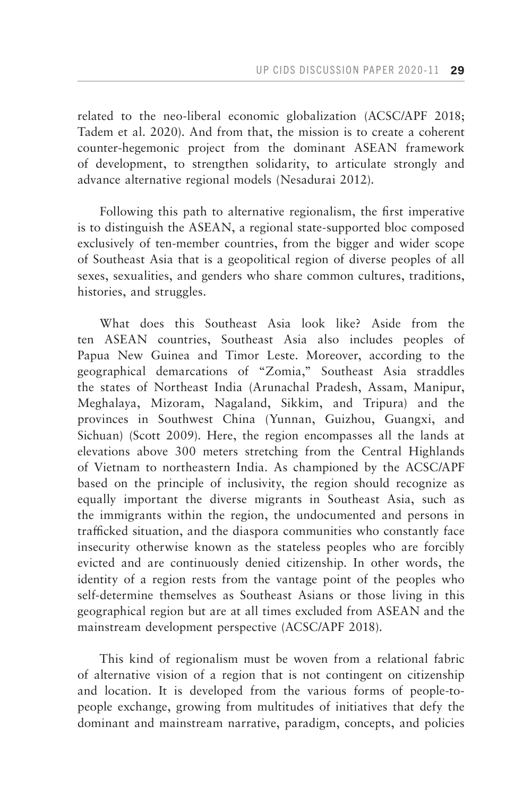related to the neo-liberal economic globalization (ACSC/APF 2018; Tadem et al. 2020). And from that, the mission is to create a coherent counter-hegemonic project from the dominant ASEAN framework of development, to strengthen solidarity, to articulate strongly and advance alternative regional models (Nesadurai 2012).

Following this path to alternative regionalism, the first imperative is to distinguish the ASEAN, a regional state-supported bloc composed exclusively of ten-member countries, from the bigger and wider scope of Southeast Asia that is a geopolitical region of diverse peoples of all sexes, sexualities, and genders who share common cultures, traditions, histories, and struggles.

What does this Southeast Asia look like? Aside from the ten ASEAN countries, Southeast Asia also includes peoples of Papua New Guinea and Timor Leste. Moreover, according to the geographical demarcations of "Zomia," Southeast Asia straddles the states of Northeast India (Arunachal Pradesh, Assam, Manipur, Meghalaya, Mizoram, Nagaland, Sikkim, and Tripura) and the provinces in Southwest China (Yunnan, Guizhou, Guangxi, and Sichuan) (Scott 2009). Here, the region encompasses all the lands at elevations above 300 meters stretching from the Central Highlands of Vietnam to northeastern India. As championed by the ACSC/APF based on the principle of inclusivity, the region should recognize as equally important the diverse migrants in Southeast Asia, such as the immigrants within the region, the undocumented and persons in trafficked situation, and the diaspora communities who constantly face insecurity otherwise known as the stateless peoples who are forcibly evicted and are continuously denied citizenship. In other words, the identity of a region rests from the vantage point of the peoples who self-determine themselves as Southeast Asians or those living in this geographical region but are at all times excluded from ASEAN and the mainstream development perspective (ACSC/APF 2018).

This kind of regionalism must be woven from a relational fabric of alternative vision of a region that is not contingent on citizenship and location. It is developed from the various forms of people-topeople exchange, growing from multitudes of initiatives that defy the dominant and mainstream narrative, paradigm, concepts, and policies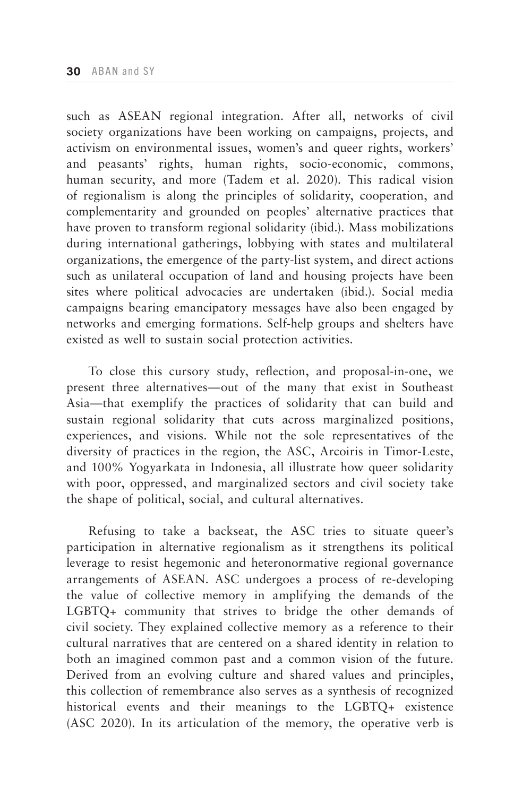such as ASEAN regional integration. After all, networks of civil society organizations have been working on campaigns, projects, and activism on environmental issues, women's and queer rights, workers' and peasants' rights, human rights, socio-economic, commons, human security, and more (Tadem et al. 2020). This radical vision of regionalism is along the principles of solidarity, cooperation, and complementarity and grounded on peoples' alternative practices that have proven to transform regional solidarity (ibid.). Mass mobilizations during international gatherings, lobbying with states and multilateral organizations, the emergence of the party-list system, and direct actions such as unilateral occupation of land and housing projects have been sites where political advocacies are undertaken (ibid.). Social media campaigns bearing emancipatory messages have also been engaged by networks and emerging formations. Self-help groups and shelters have existed as well to sustain social protection activities.

To close this cursory study, reflection, and proposal-in-one, we present three alternatives—out of the many that exist in Southeast Asia—that exemplify the practices of solidarity that can build and sustain regional solidarity that cuts across marginalized positions, experiences, and visions. While not the sole representatives of the diversity of practices in the region, the ASC, Arcoiris in Timor-Leste, and 100% Yogyarkata in Indonesia, all illustrate how queer solidarity with poor, oppressed, and marginalized sectors and civil society take the shape of political, social, and cultural alternatives.

Refusing to take a backseat, the ASC tries to situate queer's participation in alternative regionalism as it strengthens its political leverage to resist hegemonic and heteronormative regional governance arrangements of ASEAN. ASC undergoes a process of re-developing the value of collective memory in amplifying the demands of the LGBTQ+ community that strives to bridge the other demands of civil society. They explained collective memory as a reference to their cultural narratives that are centered on a shared identity in relation to both an imagined common past and a common vision of the future. Derived from an evolving culture and shared values and principles, this collection of remembrance also serves as a synthesis of recognized historical events and their meanings to the LGBTQ+ existence (ASC 2020). In its articulation of the memory, the operative verb is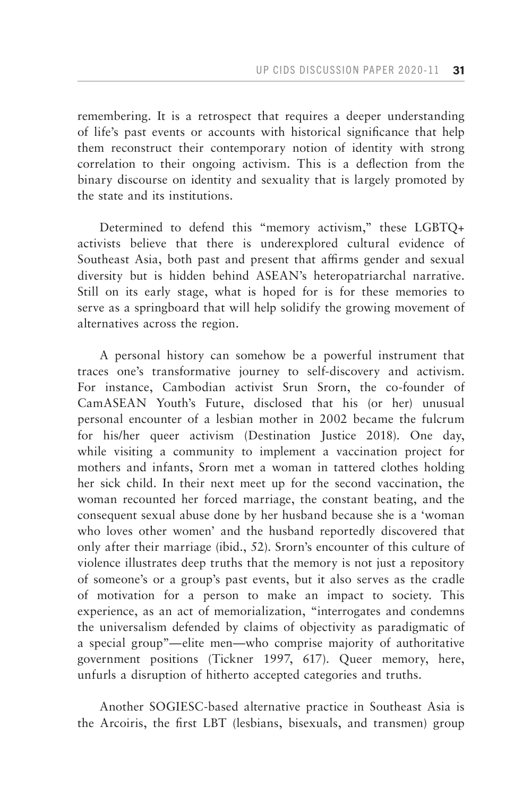remembering. It is a retrospect that requires a deeper understanding of life's past events or accounts with historical significance that help them reconstruct their contemporary notion of identity with strong correlation to their ongoing activism. This is a deflection from the binary discourse on identity and sexuality that is largely promoted by the state and its institutions.

Determined to defend this "memory activism," these LGBTQ+ activists believe that there is underexplored cultural evidence of Southeast Asia, both past and present that affirms gender and sexual diversity but is hidden behind ASEAN's heteropatriarchal narrative. Still on its early stage, what is hoped for is for these memories to serve as a springboard that will help solidify the growing movement of alternatives across the region.

A personal history can somehow be a powerful instrument that traces one's transformative journey to self-discovery and activism. For instance, Cambodian activist Srun Srorn, the co-founder of CamASEAN Youth's Future, disclosed that his (or her) unusual personal encounter of a lesbian mother in 2002 became the fulcrum for his/her queer activism (Destination Justice 2018). One day, while visiting a community to implement a vaccination project for mothers and infants, Srorn met a woman in tattered clothes holding her sick child. In their next meet up for the second vaccination, the woman recounted her forced marriage, the constant beating, and the consequent sexual abuse done by her husband because she is a 'woman who loves other women' and the husband reportedly discovered that only after their marriage (ibid., 52). Srorn's encounter of this culture of violence illustrates deep truths that the memory is not just a repository of someone's or a group's past events, but it also serves as the cradle of motivation for a person to make an impact to society. This experience, as an act of memorialization, "interrogates and condemns the universalism defended by claims of objectivity as paradigmatic of a special group"—elite men—who comprise majority of authoritative government positions (Tickner 1997, 617). Queer memory, here, unfurls a disruption of hitherto accepted categories and truths.

Another SOGIESC-based alternative practice in Southeast Asia is the Arcoiris, the first LBT (lesbians, bisexuals, and transmen) group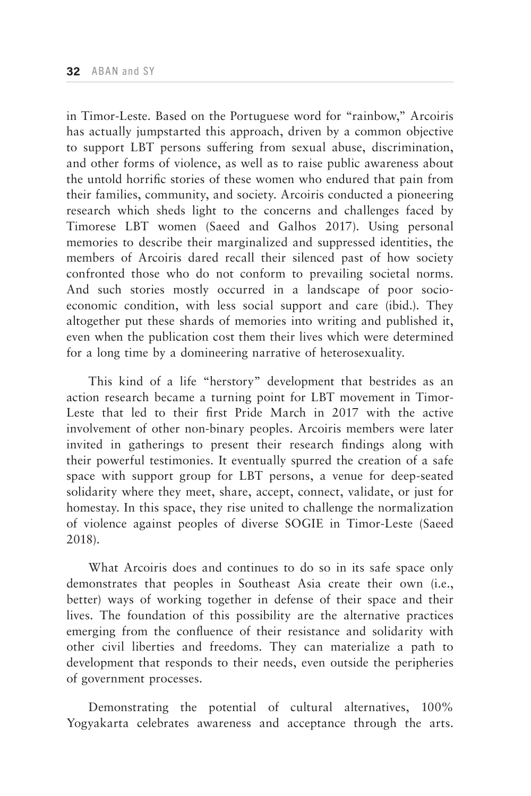in Timor-Leste. Based on the Portuguese word for "rainbow," Arcoiris has actually jumpstarted this approach, driven by a common objective to support LBT persons suffering from sexual abuse, discrimination, and other forms of violence, as well as to raise public awareness about the untold horrific stories of these women who endured that pain from their families, community, and society. Arcoiris conducted a pioneering research which sheds light to the concerns and challenges faced by Timorese LBT women (Saeed and Galhos 2017). Using personal memories to describe their marginalized and suppressed identities, the members of Arcoiris dared recall their silenced past of how society confronted those who do not conform to prevailing societal norms. And such stories mostly occurred in a landscape of poor socioeconomic condition, with less social support and care (ibid.). They altogether put these shards of memories into writing and published it, even when the publication cost them their lives which were determined for a long time by a domineering narrative of heterosexuality.

This kind of a life "herstory" development that bestrides as an action research became a turning point for LBT movement in Timor-Leste that led to their first Pride March in 2017 with the active involvement of other non-binary peoples. Arcoiris members were later invited in gatherings to present their research findings along with their powerful testimonies. It eventually spurred the creation of a safe space with support group for LBT persons, a venue for deep-seated solidarity where they meet, share, accept, connect, validate, or just for homestay. In this space, they rise united to challenge the normalization of violence against peoples of diverse SOGIE in Timor-Leste (Saeed 2018).

What Arcoiris does and continues to do so in its safe space only demonstrates that peoples in Southeast Asia create their own (i.e., better) ways of working together in defense of their space and their lives. The foundation of this possibility are the alternative practices emerging from the confluence of their resistance and solidarity with other civil liberties and freedoms. They can materialize a path to development that responds to their needs, even outside the peripheries of government processes.

Demonstrating the potential of cultural alternatives, 100% Yogyakarta celebrates awareness and acceptance through the arts.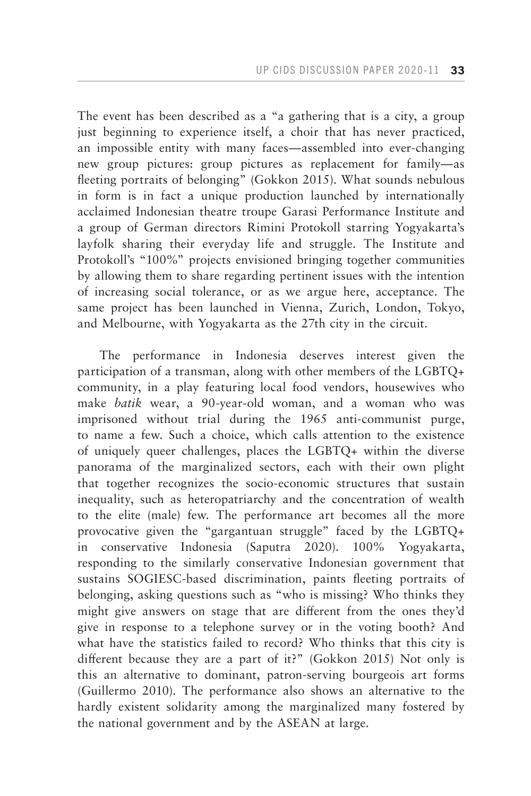The event has been described as a "a gathering that is a city, a group just beginning to experience itself, a choir that has never practiced, an impossible entity with many faces—assembled into ever-changing new group pictures: group pictures as replacement for family—as fleeting portraits of belonging" (Gokkon 2015). What sounds nebulous in form is in fact a unique production launched by internationally acclaimed Indonesian theatre troupe Garasi Performance Institute and a group of German directors Rimini Protokoll starring Yogyakarta's layfolk sharing their everyday life and struggle. The Institute and Protokoll's "100%" projects envisioned bringing together communities by allowing them to share regarding pertinent issues with the intention of increasing social tolerance, or as we argue here, acceptance. The same project has been launched in Vienna, Zurich, London, Tokyo, and Melbourne, with Yogyakarta as the 27th city in the circuit.

The performance in Indonesia deserves interest given the participation of a transman, along with other members of the LGBTQ+ community, in a play featuring local food vendors, housewives who make *batik* wear, a 90-year-old woman, and a woman who was imprisoned without trial during the 1965 anti-communist purge, to name a few. Such a choice, which calls attention to the existence of uniquely queer challenges, places the LGBTQ+ within the diverse panorama of the marginalized sectors, each with their own plight that together recognizes the socio-economic structures that sustain inequality, such as heteropatriarchy and the concentration of wealth to the elite (male) few. The performance art becomes all the more provocative given the "gargantuan struggle" faced by the LGBTQ+ in conservative Indonesia (Saputra 2020). 100% Yogyakarta, responding to the similarly conservative Indonesian government that sustains SOGIESC-based discrimination, paints fleeting portraits of belonging, asking questions such as "who is missing? Who thinks they might give answers on stage that are different from the ones they'd give in response to a telephone survey or in the voting booth? And what have the statistics failed to record? Who thinks that this city is different because they are a part of it?" (Gokkon 2015) Not only is this an alternative to dominant, patron-serving bourgeois art forms (Guillermo 2010). The performance also shows an alternative to the hardly existent solidarity among the marginalized many fostered by the national government and by the ASEAN at large.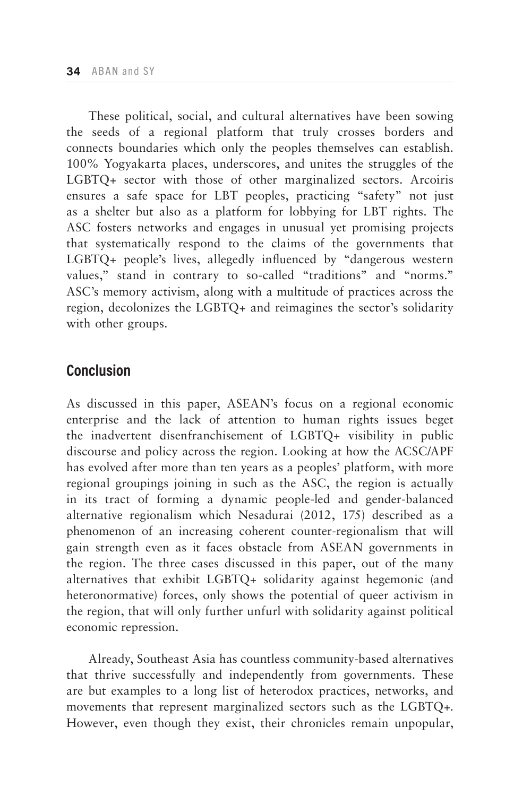These political, social, and cultural alternatives have been sowing the seeds of a regional platform that truly crosses borders and connects boundaries which only the peoples themselves can establish. 100% Yogyakarta places, underscores, and unites the struggles of the LGBTQ+ sector with those of other marginalized sectors. Arcoiris ensures a safe space for LBT peoples, practicing "safety" not just as a shelter but also as a platform for lobbying for LBT rights. The ASC fosters networks and engages in unusual yet promising projects that systematically respond to the claims of the governments that LGBTQ+ people's lives, allegedly influenced by "dangerous western values," stand in contrary to so-called "traditions" and "norms." ASC's memory activism, along with a multitude of practices across the region, decolonizes the LGBTQ+ and reimagines the sector's solidarity with other groups.

## **Conclusion**

As discussed in this paper, ASEAN's focus on a regional economic enterprise and the lack of attention to human rights issues beget the inadvertent disenfranchisement of LGBTQ+ visibility in public discourse and policy across the region. Looking at how the ACSC/APF has evolved after more than ten years as a peoples' platform, with more regional groupings joining in such as the ASC, the region is actually in its tract of forming a dynamic people-led and gender-balanced alternative regionalism which Nesadurai (2012, 175) described as a phenomenon of an increasing coherent counter-regionalism that will gain strength even as it faces obstacle from ASEAN governments in the region. The three cases discussed in this paper, out of the many alternatives that exhibit LGBTQ+ solidarity against hegemonic (and heteronormative) forces, only shows the potential of queer activism in the region, that will only further unfurl with solidarity against political economic repression.

Already, Southeast Asia has countless community-based alternatives that thrive successfully and independently from governments. These are but examples to a long list of heterodox practices, networks, and movements that represent marginalized sectors such as the LGBTQ+. However, even though they exist, their chronicles remain unpopular,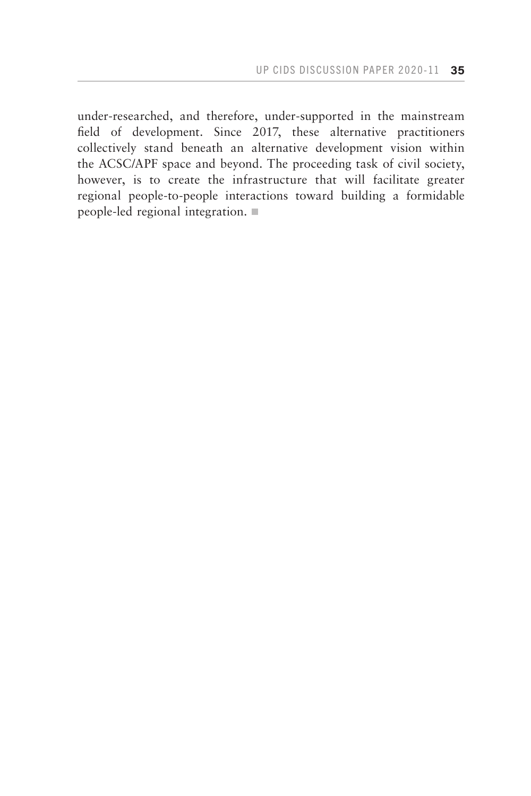under-researched, and therefore, under-supported in the mainstream field of development. Since 2017, these alternative practitioners collectively stand beneath an alternative development vision within the ACSC/APF space and beyond. The proceeding task of civil society, however, is to create the infrastructure that will facilitate greater regional people-to-people interactions toward building a formidable people-led regional integration.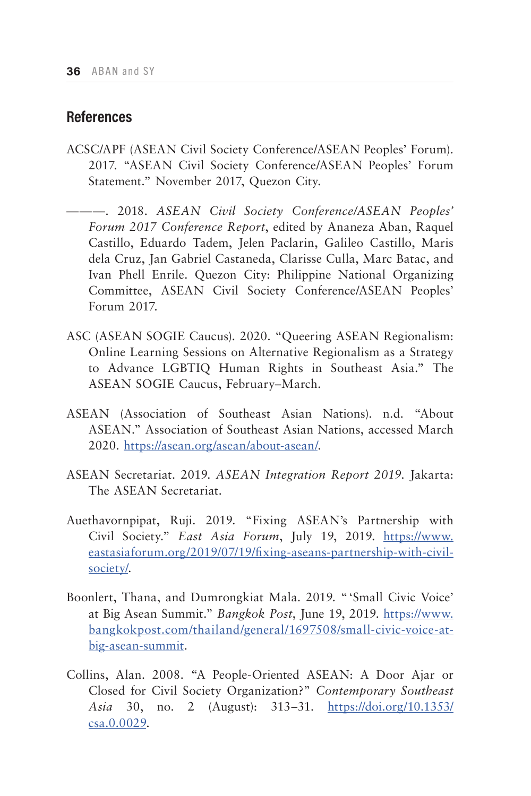# **References**

- ACSC/APF (ASEAN Civil Society Conference/ASEAN Peoples' Forum). 2017. "ASEAN Civil Society Conference/ASEAN Peoples' Forum Statement." November 2017, Quezon City.
- ———. 2018. *ASEAN Civil Society Conference/ASEAN Peoples' Forum 2017 Conference Report*, edited by Ananeza Aban, Raquel Castillo, Eduardo Tadem, Jelen Paclarin, Galileo Castillo, Maris dela Cruz, Jan Gabriel Castaneda, Clarisse Culla, Marc Batac, and Ivan Phell Enrile. Quezon City: Philippine National Organizing Committee, ASEAN Civil Society Conference/ASEAN Peoples' Forum 2017.
- ASC (ASEAN SOGIE Caucus). 2020. "Queering ASEAN Regionalism: Online Learning Sessions on Alternative Regionalism as a Strategy to Advance LGBTIQ Human Rights in Southeast Asia." The ASEAN SOGIE Caucus, February–March.
- ASEAN (Association of Southeast Asian Nations). n.d. "About ASEAN." Association of Southeast Asian Nations, accessed March 2020. [https://asean.org/asean/about-asean/.](https://asean.org/asean/about-asean/)
- ASEAN Secretariat. 2019. *ASEAN Integration Report 2019.* Jakarta: The ASEAN Secretariat.
- Auethavornpipat, Ruji. 2019. "Fixing ASEAN's Partnership with Civil Society." *East Asia Forum*, July 19, 2019. [https://www.](https://www.eastasiaforum.org/2019/07/19/fixing-aseans-partnership-with-civil-society/) [eastasiaforum.org/2019/07/19/fixing-aseans-partnership-with-civil](https://www.eastasiaforum.org/2019/07/19/fixing-aseans-partnership-with-civil-society/)[society/.](https://www.eastasiaforum.org/2019/07/19/fixing-aseans-partnership-with-civil-society/)
- Boonlert, Thana, and Dumrongkiat Mala. 2019. "'Small Civic Voice' at Big Asean Summit." *Bangkok Post*, June 19, 2019. [https://www.](https://www.bangkokpost.com/thailand/general/1697508/small-civic-voice-at-big-asean-summit) [bangkokpost.com/thailand/general/1697508/small-civic-voice-at](https://www.bangkokpost.com/thailand/general/1697508/small-civic-voice-at-big-asean-summit)[big-asean-summit.](https://www.bangkokpost.com/thailand/general/1697508/small-civic-voice-at-big-asean-summit)
- Collins, Alan. 2008. "A People-Oriented ASEAN: A Door Ajar or Closed for Civil Society Organization?" *Contemporary Southeast Asia* 30, no. 2 (August): 313–31. [https://doi.org/10.1353/](https://doi.org/10.1353/csa.0.0029) [csa.0.0029.](https://doi.org/10.1353/csa.0.0029)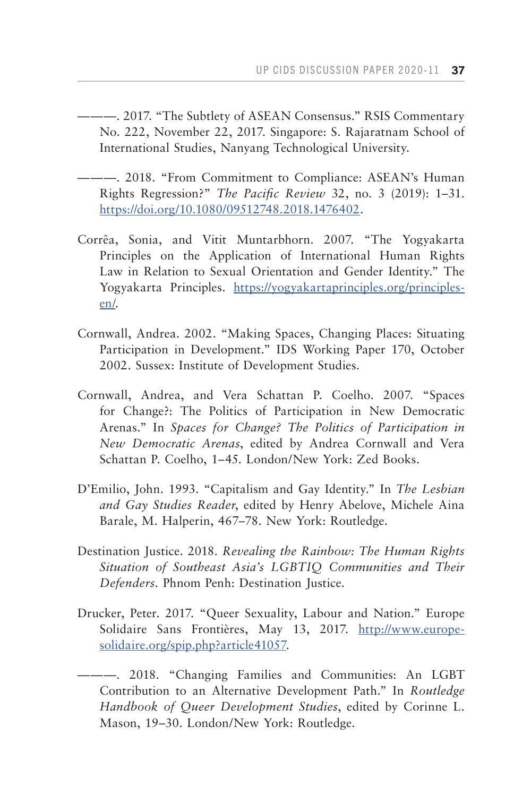———. 2017. "The Subtlety of ASEAN Consensus." RSIS Commentary No. 222, November 22, 2017. Singapore: S. Rajaratnam School of International Studies, Nanyang Technological University.

- ———. 2018. "From Commitment to Compliance: ASEAN's Human Rights Regression?" *The Pacific Review* 32, no. 3 (2019): 1–31. [https://doi.org/10.1080/09512748.2018.1476402.](https://doi.org/10.1080/09512748.2018.1476402)
- Corrêa, Sonia, and Vitit Muntarbhorn. 2007. "The Yogyakarta Principles on the Application of International Human Rights Law in Relation to Sexual Orientation and Gender Identity." The Yogyakarta Principles. [https://yogyakartaprinciples.org/principles](https://yogyakartaprinciples.org/principles-en/)[en/.](https://yogyakartaprinciples.org/principles-en/)
- Cornwall, Andrea. 2002. "Making Spaces, Changing Places: Situating Participation in Development." IDS Working Paper 170, October 2002. Sussex: Institute of Development Studies.
- Cornwall, Andrea, and Vera Schattan P. Coelho. 2007. "Spaces for Change?: The Politics of Participation in New Democratic Arenas." In *Spaces for Change? The Politics of Participation in New Democratic Arenas*, edited by Andrea Cornwall and Vera Schattan P. Coelho, 1–45. London/New York: Zed Books.
- D'Emilio, John. 1993. "Capitalism and Gay Identity." In *The Lesbian and Gay Studies Reader*, edited by Henry Abelove, Michele Aina Barale, M. Halperin, 467–78. New York: Routledge.
- Destination Justice. 2018. *Revealing the Rainbow: The Human Rights Situation of Southeast Asia's LGBTIQ Communities and Their Defenders.* Phnom Penh: Destination Justice.
- Drucker, Peter. 2017. "Queer Sexuality, Labour and Nation." Europe Solidaire Sans Frontières, May 13, 2017. [http://www.europe](http://www.europe-solidaire.org/spip.php?article41057)[solidaire.org/spip.php?article41057.](http://www.europe-solidaire.org/spip.php?article41057)
- [———. 2018. "Changing Families and Communities: An LGBT](http://www.europe-solidaire.org/spip.php?article41057)  [Contribution to an Alternative Development Path." In](http://www.europe-solidaire.org/spip.php?article41057) *Routledge [Handbook of Queer Development Studies](http://www.europe-solidaire.org/spip.php?article41057)*, edited by Corinne L. [Mason, 19–30. London/New York: Routledge.](http://www.europe-solidaire.org/spip.php?article41057)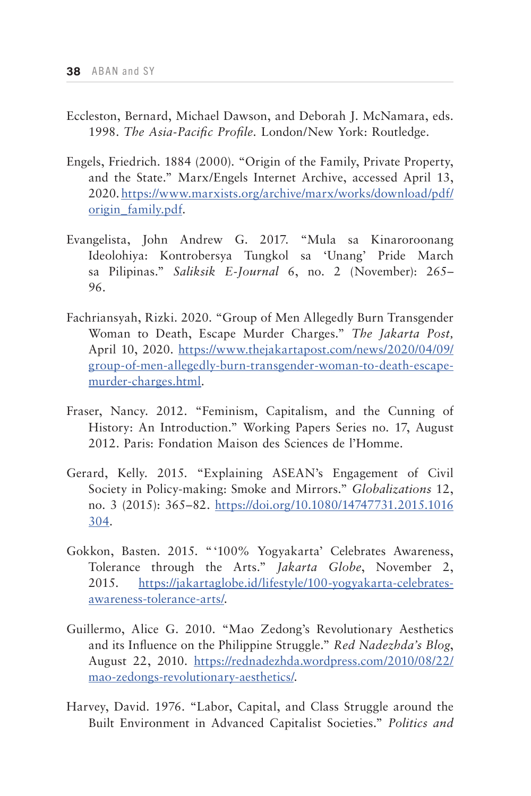- Eccleston, Bernard, Michael Dawson, and Deborah J. McNamara, eds. 1998. *The Asia-Pacific Profile.* London/New York: Routledge.
- Engels, Friedrich. 1884 (2000). "Origin of the Family, Private Property, and the State." Marx/Engels Internet Archive, accessed April 13, 2020. [https://www.marxists.org/archive/marx/works/download/pdf/](https://www.marxists.org/archive/marx/works/download/pdf/origin_family.pdf) [origin\\_family.pdf](https://www.marxists.org/archive/marx/works/download/pdf/origin_family.pdf).
- Evangelista, John Andrew G. 2017. "Mula sa Kinaroroonang Ideolohiya: Kontrobersya Tungkol sa 'Unang' Pride March sa Pilipinas." *Saliksik E-Journal* 6, no. 2 (November): 265– 96.
- Fachriansyah, Rizki. 2020. "Group of Men Allegedly Burn Transgender Woman to Death, Escape Murder Charges." *The Jakarta Post,*  April 10, 2020. [https://www.thejakartapost.com/news/2020/04/09/](https://www.thejakartapost.com/news/2020/04/09/group-of-men-allegedly-burn-transgender-woman-to-death-escape-murder-charges.html) [group-of-men-allegedly-burn-transgender-woman-to-death-escape](https://www.thejakartapost.com/news/2020/04/09/group-of-men-allegedly-burn-transgender-woman-to-death-escape-murder-charges.html)[murder-charges.html.](https://www.thejakartapost.com/news/2020/04/09/group-of-men-allegedly-burn-transgender-woman-to-death-escape-murder-charges.html)
- Fraser, Nancy. 2012. "Feminism, Capitalism, and the Cunning of History: An Introduction." Working Papers Series no. 17, August 2012. Paris: Fondation Maison des Sciences de l'Homme.
- Gerard, Kelly. 2015. "Explaining ASEAN's Engagement of Civil Society in Policy-making: Smoke and Mirrors." *Globalizations* 12, no. 3 (2015): 365–82. [https://doi.org/10.1080/14747731.2015.1016](https://doi.org/10.1080/14747731.2015.1016304) [304.](https://doi.org/10.1080/14747731.2015.1016304)
- Gokkon, Basten. 2015. "'100% Yogyakarta' Celebrates Awareness, Tolerance through the Arts." *Jakarta Globe*, November 2, 2015. [https://jakartaglobe.id/lifestyle/100-yogyakarta-celebrates](https://jakartaglobe.id/lifestyle/100-yogyakarta-celebrates-awareness-tolerance-arts/)[awareness-tolerance-arts/.](https://jakartaglobe.id/lifestyle/100-yogyakarta-celebrates-awareness-tolerance-arts/)
- Guillermo, Alice G. 2010. "Mao Zedong's Revolutionary Aesthetics and its Influence on the Philippine Struggle." *Red Nadezhda's Blog*, August 22, 2010. [https://rednadezhda.wordpress.com/2010/08/22/](https://rednadezhda.wordpress.com/2010/08/22/mao-zedongs-revolutionary-aesthetics/) [mao-zedongs-revolutionary-aesthetics/.](https://rednadezhda.wordpress.com/2010/08/22/mao-zedongs-revolutionary-aesthetics/)
- Harvey, David. 1976. "Labor, Capital, and Class Struggle around the Built Environment in Advanced Capitalist Societies." *Politics and*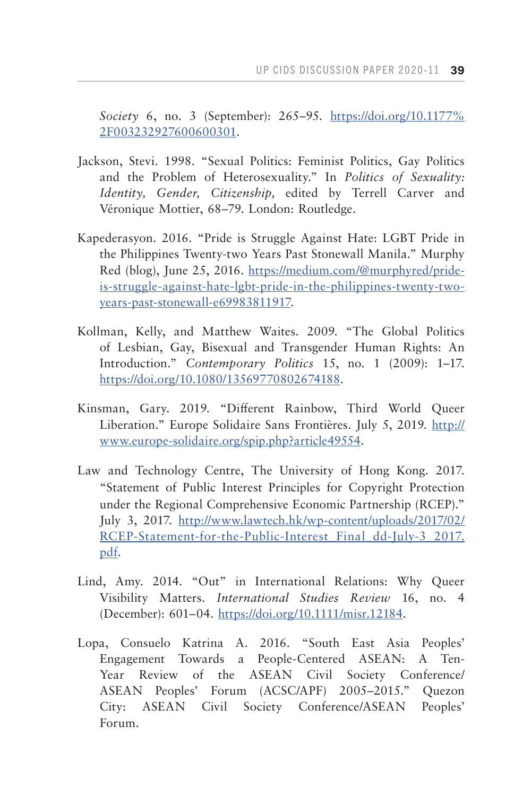*Society* 6, no. 3 (September): 265–95. [https://doi.org/10.1177%](https://doi.org/10.1177%2F003232927600600301) [2F003232927600600301](https://doi.org/10.1177%2F003232927600600301).

- Jackson, Stevi. 1998. "Sexual Politics: Feminist Politics, Gay Politics and the Problem of Heterosexuality." In *Politics of Sexuality: Identity, Gender, Citizenship,* edited by Terrell Carver and Véronique Mottier, 68–79. London: Routledge.
- Kapederasyon. 2016. "Pride is Struggle Against Hate: LGBT Pride in the Philippines Twenty-two Years Past Stonewall Manila." Murphy Red (blog), June 25, 2016. [https://medium.com/@murphyred/pride](mailto:https://medium.com/%40murphyred/pride-is-struggle-against-hate-lgbt-pride-in-the-philippines-twenty-two-years-past-stonewall-e69983811917?subject=)[is-struggle-against-hate-lgbt-pride-in-the-philippines-twenty-two](mailto:https://medium.com/%40murphyred/pride-is-struggle-against-hate-lgbt-pride-in-the-philippines-twenty-two-years-past-stonewall-e69983811917?subject=)[years-past-stonewall-e69983811917.](mailto:https://medium.com/%40murphyred/pride-is-struggle-against-hate-lgbt-pride-in-the-philippines-twenty-two-years-past-stonewall-e69983811917?subject=)
- Kollman, Kelly, and Matthew Waites. 2009. "The Global Politics of Lesbian, Gay, Bisexual and Transgender Human Rights: An Introduction." *Contemporary Politics* 15, no. 1 (2009): 1–17. [https://doi.org/10.1080/13569770802674188.](https://doi.org/10.1080/13569770802674188)
- Kinsman, Gary. 2019. "Different Rainbow, Third World Queer Liberation." Europe Solidaire Sans Frontières. July 5, 2019. [http://](http://www.europe-solidaire.org/spip.php?article49554) [www.europe-solidaire.org/spip.php?article49554.](http://www.europe-solidaire.org/spip.php?article49554)
- Law and Technology Centre, The University of Hong Kong. 2017. "Statement of Public Interest Principles for Copyright Protection under the Regional Comprehensive Economic Partnership (RCEP)." July 3, 2017. [http://www.lawtech.hk/wp-content/uploads/2017/02/](http://www.lawtech.hk/wp-content/uploads/2017/02/RCEP-Statement-for-the-Public-Interest_Final_dd-July-3_2017.pdf) RCEP-Statement-for-the-Public-Interest Final dd-July-3 2017. [pdf.](http://www.lawtech.hk/wp-content/uploads/2017/02/RCEP-Statement-for-the-Public-Interest_Final_dd-July-3_2017.pdf)
- Lind, Amy. 2014. "Out" in International Relations: Why Queer Visibility Matters. *International Studies Review* 16, no. 4 (December): 601–04. [https://doi.org/10.1111/misr.12184.](https://doi.org/10.1111/misr.12184)
- Lopa, Consuelo Katrina A. 2016. "South East Asia Peoples' Engagement Towards a People-Centered ASEAN: A Ten-Year Review of the ASEAN Civil Society Conference/ ASEAN Peoples' Forum (ACSC/APF) 2005–2015." Quezon City: ASEAN Civil Society Conference/ASEAN Peoples' Forum.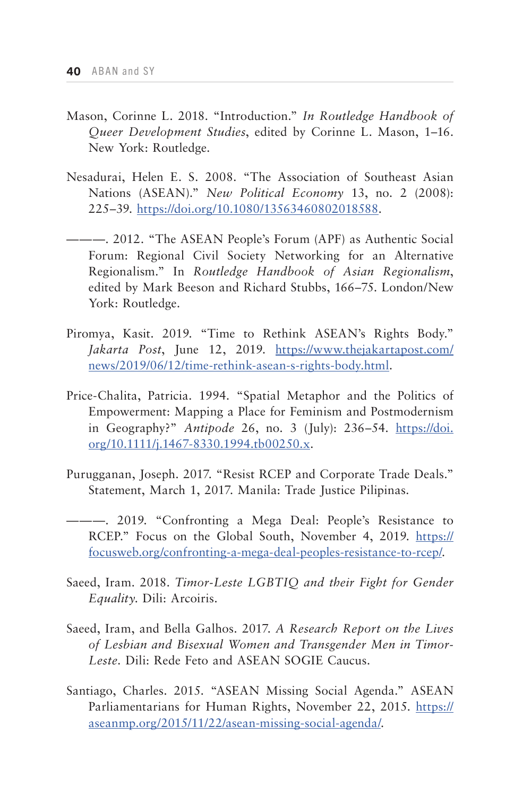- Mason, Corinne L. 2018. "Introduction." *In Routledge Handbook of Queer Development Studies*, edited by Corinne L. Mason, 1–16. New York: Routledge.
- Nesadurai, Helen E. S. 2008. "The Association of Southeast Asian Nations (ASEAN)." *New Political Economy* 13, no. 2 (2008): 225–39. [https://doi.org/10.1080/13563460802018588.](https://doi.org/10.1080/13563460802018588)
- ———. 2012. "The ASEAN People's Forum (APF) as Authentic Social Forum: Regional Civil Society Networking for an Alternative Regionalism." In *Routledge Handbook of Asian Regionalism*, edited by Mark Beeson and Richard Stubbs, 166–75. London/New York: Routledge.
- Piromya, Kasit. 2019. "Time to Rethink ASEAN's Rights Body." *Jakarta Post*, June 12, 2019. [https://www.thejakartapost.com/](https://www.thejakartapost.com/news/2019/06/12/time-rethink-asean-s-rights-body.html) [news/2019/06/12/time-rethink-asean-s-rights-body.html.](https://www.thejakartapost.com/news/2019/06/12/time-rethink-asean-s-rights-body.html)
- Price-Chalita, Patricia. 1994. "Spatial Metaphor and the Politics of Empowerment: Mapping a Place for Feminism and Postmodernism in Geography?" *Antipode* 26, no. 3 (July): 236–54. [https://doi.](https://doi.org/10.1111/j.1467-8330.1994.tb00250.x) [org/10.1111/j.1467-8330.1994.tb00250.x](https://doi.org/10.1111/j.1467-8330.1994.tb00250.x).
- Purugganan, Joseph. 2017. "Resist RCEP and Corporate Trade Deals." Statement, March 1, 2017. Manila: Trade Justice Pilipinas.
- ———. 2019. "Confronting a Mega Deal: People's Resistance to RCEP." Focus on the Global South, November 4, 2019. [https://](https://focusweb.org/confronting-a-mega-deal-peoples-resistance-to-rcep/) [focusweb.org/confronting-a-mega-deal-peoples-resistance-to-rcep/.](https://focusweb.org/confronting-a-mega-deal-peoples-resistance-to-rcep/)
- Saeed, Iram. 2018. *Timor-Leste LGBTIQ and their Fight for Gender Equality*. Dili: Arcoiris.
- Saeed, Iram, and Bella Galhos. 2017. *A Research Report on the Lives of Lesbian and Bisexual Women and Transgender Men in Timor-Leste.* Dili: Rede Feto and ASEAN SOGIE Caucus.
- Santiago, Charles. 2015. "ASEAN Missing Social Agenda." ASEAN Parliamentarians for Human Rights, November 22, 2015. [https://](https://aseanmp.org/2015/11/22/asean-missing-social-agenda/) [aseanmp.org/2015/11/22/asean-missing-social-agenda/.](https://aseanmp.org/2015/11/22/asean-missing-social-agenda/)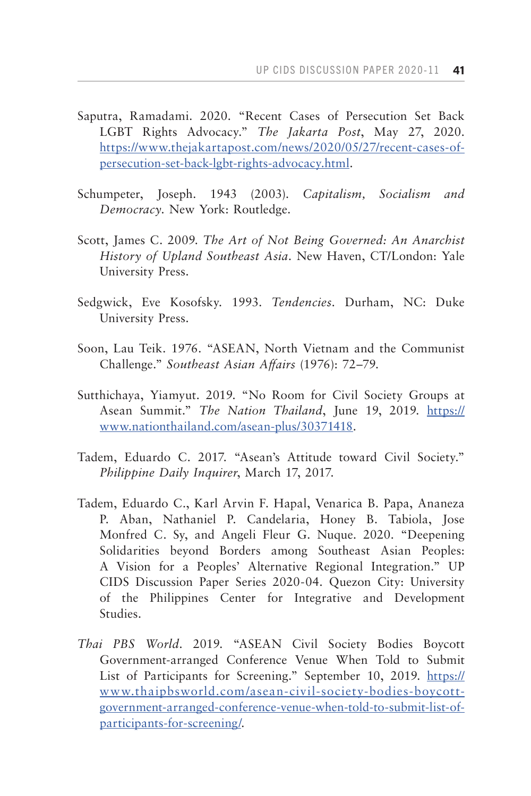- Saputra, Ramadami. 2020. "Recent Cases of Persecution Set Back LGBT Rights Advocacy." *The Jakarta Post*, May 27, 2020. [https://www.thejakartapost.com/news/2020/05/27/recent-cases-of](https://www.thejakartapost.com/news/2020/05/27/recent-cases-of-persecution-set-back-lgbt-rights-advocacy.html)[persecution-set-back-lgbt-rights-advocacy.html.](https://www.thejakartapost.com/news/2020/05/27/recent-cases-of-persecution-set-back-lgbt-rights-advocacy.html)
- Schumpeter, Joseph. 1943 (2003). *Capitalism, Socialism and Democracy.* New York: Routledge.
- Scott, James C. 2009. *The Art of Not Being Governed: An Anarchist History of Upland Southeast Asia.* New Haven, CT/London: Yale University Press.
- Sedgwick, Eve Kosofsky. 1993. *Tendencies.* Durham, NC: Duke University Press.
- Soon, Lau Teik. 1976. "ASEAN, North Vietnam and the Communist Challenge." *Southeast Asian Affairs* (1976): 72–79.
- Sutthichaya, Yiamyut. 2019. "No Room for Civil Society Groups at Asean Summit." *The Nation Thailand*, June 19, 2019. [https://](https://www.nationthailand.com/asean-plus/30371418) [www.nationthailand.com/asean-plus/30371418](https://www.nationthailand.com/asean-plus/30371418).
- Tadem, Eduardo C. 2017. "Asean's Attitude toward Civil Society." *Philippine Daily Inquirer*, March 17, 2017.
- Tadem, Eduardo C., Karl Arvin F. Hapal, Venarica B. Papa, Ananeza P. Aban, Nathaniel P. Candelaria, Honey B. Tabiola, Jose Monfred C. Sy, and Angeli Fleur G. Nuque. 2020. "Deepening Solidarities beyond Borders among Southeast Asian Peoples: A Vision for a Peoples' Alternative Regional Integration." UP CIDS Discussion Paper Series 2020-04. Quezon City: University of the Philippines Center for Integrative and Development Studies.
- *Thai PBS World*. 2019. "ASEAN Civil Society Bodies Boycott Government-arranged Conference Venue When Told to Submit List of Participants for Screening." September 10, 2019. [https://](https://www.thaipbsworld.com/asean-civil-society-bodies-boycott-government-arranged-conference-venue-when-told-to-submit-list-of-participants-for-screening/) [www.thaipbsworld.com/asean-civil-society-bodies-boycott](https://www.thaipbsworld.com/asean-civil-society-bodies-boycott-government-arranged-conference-venue-when-told-to-submit-list-of-participants-for-screening/)[government-arranged-conference-venue-when-told-to-submit-list-of](https://www.thaipbsworld.com/asean-civil-society-bodies-boycott-government-arranged-conference-venue-when-told-to-submit-list-of-participants-for-screening/)[participants-for-screening/.](https://www.thaipbsworld.com/asean-civil-society-bodies-boycott-government-arranged-conference-venue-when-told-to-submit-list-of-participants-for-screening/)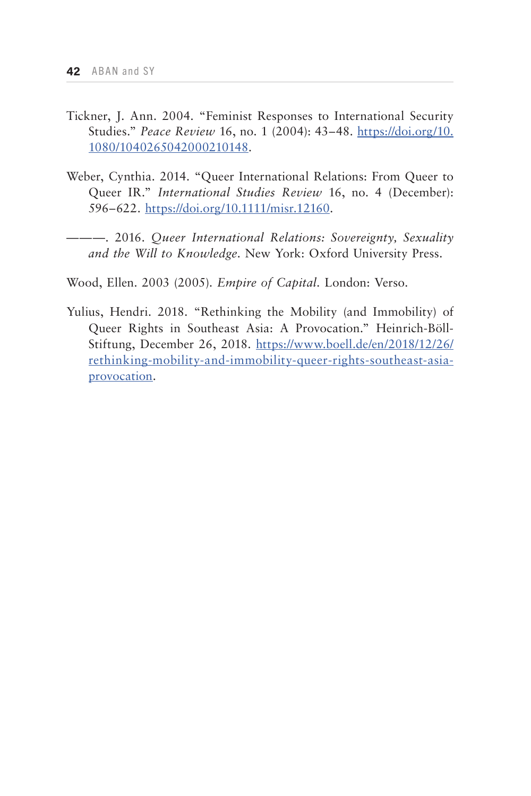- Tickner, J. Ann. 2004. "Feminist Responses to International Security Studies." *Peace Review* 16, no. 1 (2004): 43–48. [https://doi.org/10.](https://doi.org/10.1080/1040265042000210148) [1080/1040265042000210148](https://doi.org/10.1080/1040265042000210148).
- Weber, Cynthia. 2014. "Queer International Relations: From Queer to Queer IR." *International Studies Review* 16, no. 4 (December): 596–622. <https://doi.org/10.1111/misr.12160>.
- ———. 2016. *Queer International Relations: Sovereignty, Sexuality and the Will to Knowledge*. New York: Oxford University Press.

Wood, Ellen. 2003 (2005). *Empire of Capital.* London: Verso.

Yulius, Hendri. 2018. "Rethinking the Mobility (and Immobility) of Queer Rights in Southeast Asia: A Provocation." Heinrich-Böll-Stiftung, December 26, 2018. [https://www.boell.de/en/2018/12/26/](https://www.boell.de/en/2018/12/26/rethinking-mobility-and-immobility-queer-rights-southeast-asia-provocation) [rethinking-mobility-and-immobility-queer-rights-southeast-asia](https://www.boell.de/en/2018/12/26/rethinking-mobility-and-immobility-queer-rights-southeast-asia-provocation)[provocation.](https://www.boell.de/en/2018/12/26/rethinking-mobility-and-immobility-queer-rights-southeast-asia-provocation)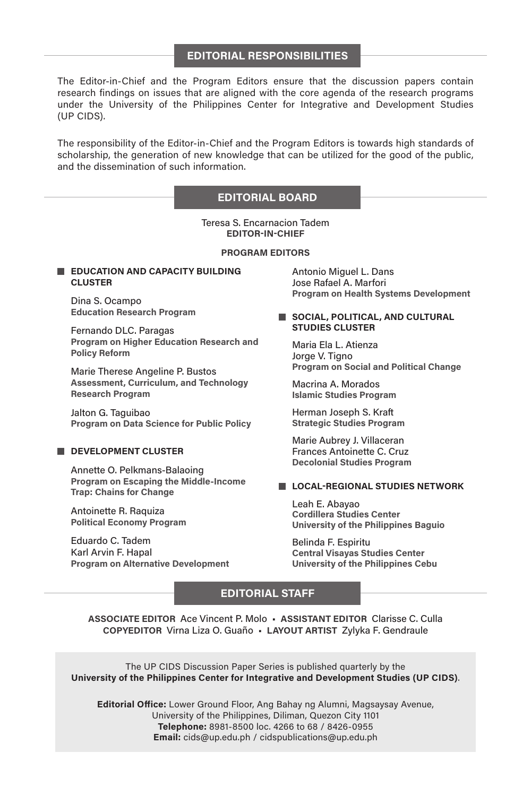#### **EDITORIAL RESPONSIBILITIES**

The Editor-in-Chief and the Program Editors ensure that the discussion papers contain research findings on issues that are aligned with the core agenda of the research programs under the University of the Philippines Center for Integrative and Development Studies (UP CIDS).

The responsibility of the Editor-in-Chief and the Program Editors is towards high standards of scholarship, the generation of new knowledge that can be utilized for the good of the public, and the dissemination of such information.

#### **EDITORIAL BOARD**

Teresa S. Encarnacion Tadem **EDITOR-IN-CHIEF**

#### **PROGRAM EDITORS**

#### **EDUCATION AND CAPACITY BUILDING CLUSTER**

Dina S. Ocampo **Education Research Program**

Fernando DLC. Paragas **Program on Higher Education Research and Policy Reform**

Marie Therese Angeline P. Bustos **Assessment, Curriculum, and Technology Research Program**

Jalton G. Taguibao **Program on Data Science for Public Policy**

#### **DEVELOPMENT CLUSTER**

Annette O. Pelkmans-Balaoing **Program on Escaping the Middle-Income Trap: Chains for Change**

Antoinette R. Raquiza **Political Economy Program**

Eduardo C. Tadem Karl Arvin F. Hapal **Program on Alternative Development** Antonio Miguel L. Dans Jose Rafael A. Marfori **Program on Health Systems Development**

#### **SOCIAL, POLITICAL, AND CULTURAL STUDIES CLUSTER**

Maria Ela L. Atienza Jorge V. Tigno **Program on Social and Political Change**

Macrina A. Morados **Islamic Studies Program**

Herman Joseph S. Kraft **Strategic Studies Program**

Marie Aubrey J. Villaceran Frances Antoinette C. Cruz **Decolonial Studies Program**

#### **LOCAL-REGIONAL STUDIES NETWORK**

Leah E. Abayao **Cordillera Studies Center University of the Philippines Baguio**

Belinda F. Espiritu **Central Visayas Studies Center University of the Philippines Cebu**

#### **EDITORIAL STAFF**

**ASSOCIATE EDITOR** Ace Vincent P. Molo • **ASSISTANT EDITOR** Clarisse C. Culla **COPYEDITOR** Virna Liza O. Guaño • **LAYOUT ARTIST** Zylyka F. Gendraule

The UP CIDS Discussion Paper Series is published quarterly by the **University of the Philippines Center for Integrative and Development Studies (UP CIDS)**.

**Editorial Office:** Lower Ground Floor, Ang Bahay ng Alumni, Magsaysay Avenue, University of the Philippines, Diliman, Quezon City 1101 **Telephone:** 8981-8500 loc. 4266 to 68 / 8426-0955 **Email:** cids@up.edu.ph / cidspublications@up.edu.ph